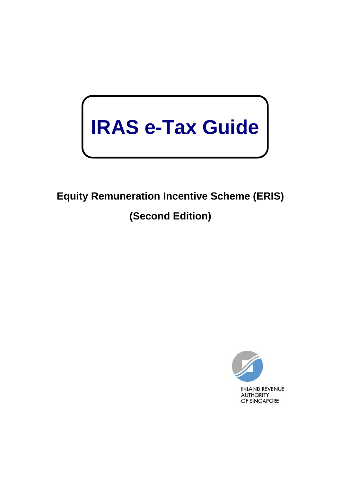# **IRAS e-Tax Guide**

## **Equity Remuneration Incentive Scheme (ERIS) (Second Edition)**

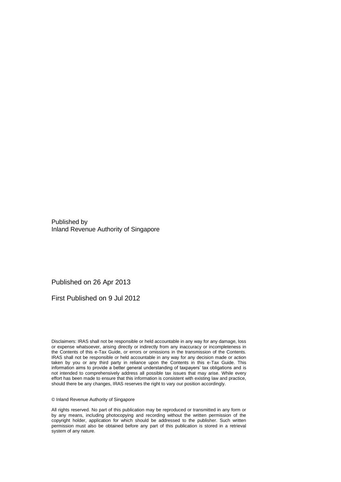Published by Inland Revenue Authority of Singapore

Published on 26 Apr 2013

First Published on 9 Jul 2012

Disclaimers: IRAS shall not be responsible or held accountable in any way for any damage, loss or expense whatsoever, arising directly or indirectly from any inaccuracy or incompleteness in the Contents of this e-Tax Guide, or errors or omissions in the transmission of the Contents. IRAS shall not be responsible or held accountable in any way for any decision made or action taken by you or any third party in reliance upon the Contents in this e-Tax Guide. This information aims to provide a better general understanding of taxpayers' tax obligations and is not intended to comprehensively address all possible tax issues that may arise. While every effort has been made to ensure that this information is consistent with existing law and practice, should there be any changes, IRAS reserves the right to vary our position accordingly.

© Inland Revenue Authority of Singapore

All rights reserved. No part of this publication may be reproduced or transmitted in any form or by any means, including photocopying and recording without the written permission of the copyright holder, application for which should be addressed to the publisher. Such written permission must also be obtained before any part of this publication is stored in a retrieval system of any nature.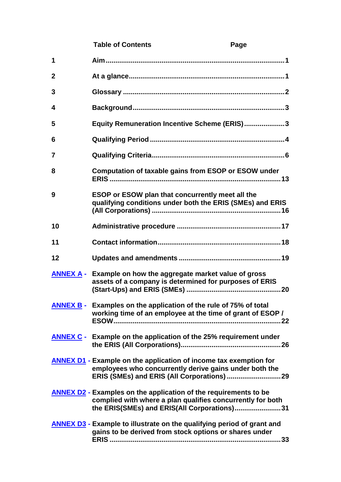|             | <b>Table of Contents</b>                                                                                                                                                              | Page |
|-------------|---------------------------------------------------------------------------------------------------------------------------------------------------------------------------------------|------|
| 1           |                                                                                                                                                                                       |      |
| $\mathbf 2$ |                                                                                                                                                                                       |      |
| 3           |                                                                                                                                                                                       |      |
| 4           |                                                                                                                                                                                       |      |
| 5           | Equity Remuneration Incentive Scheme (ERIS)3                                                                                                                                          |      |
| 6           |                                                                                                                                                                                       |      |
| 7           |                                                                                                                                                                                       |      |
| 8           | Computation of taxable gains from ESOP or ESOW under                                                                                                                                  |      |
| 9           | ESOP or ESOW plan that concurrently meet all the<br>qualifying conditions under both the ERIS (SMEs) and ERIS                                                                         |      |
| 10          |                                                                                                                                                                                       |      |
| 11          |                                                                                                                                                                                       |      |
| 12          |                                                                                                                                                                                       |      |
|             | <b>ANNEX A - Example on how the aggregate market value of gross</b><br>assets of a company is determined for purposes of ERIS                                                         |      |
|             | <b>ANNEX B -</b> Examples on the application of the rule of $75\%$ of total<br>working time of an employee at the time of grant of ESOP /                                             |      |
|             | <b>ANNEX C</b> - Example on the application of the 25% requirement under                                                                                                              |      |
|             | <b>ANNEX D1 - Example on the application of income tax exemption for</b><br>employees who concurrently derive gains under both the                                                    |      |
|             | <b>ANNEX D2 - Examples on the application of the requirements to be</b><br>complied with where a plan qualifies concurrently for both<br>the ERIS(SMEs) and ERIS(All Corporations) 31 |      |
|             | <b>ANNEX D3 - Example to illustrate on the qualifying period of grant and</b><br>gains to be derived from stock options or shares under                                               |      |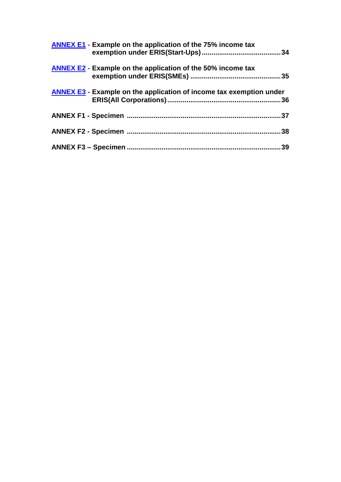| <b>ANNEX E1 - Example on the application of the 75% income tax</b>         |     |
|----------------------------------------------------------------------------|-----|
| <b>ANNEX E2 - Example on the application of the 50% income tax</b>         |     |
| <b>ANNEX E3 - Example on the application of income tax exemption under</b> | .36 |
|                                                                            |     |
|                                                                            | 38  |
|                                                                            | 39  |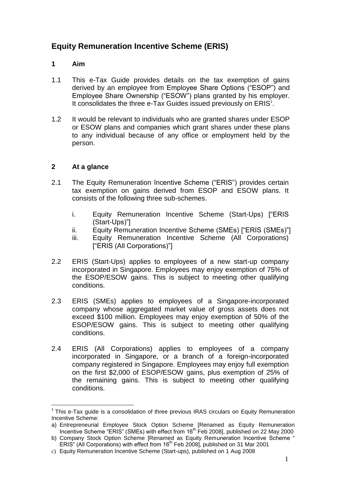## **Equity Remuneration Incentive Scheme (ERIS)**

## <span id="page-4-0"></span>**1 Aim**

- 1.1 This e-Tax Guide provides details on the tax exemption of gains derived by an employee from Employee Share Options ("ESOP") and Employee Share Ownership ("ESOW") plans granted by his employer. It consolidates the three e-Tax Guides issued previously on ERIS<sup>1</sup>.
- 1.2 It would be relevant to individuals who are granted shares under ESOP or ESOW plans and companies which grant shares under these plans to any individual because of any office or employment held by the person.

## <span id="page-4-1"></span>**2 At a glance**

- 2.1 The Equity Remuneration Incentive Scheme ("ERIS") provides certain tax exemption on gains derived from ESOP and ESOW plans. It consists of the following three sub-schemes.
	- i. Equity Remuneration Incentive Scheme (Start-Ups) ["ERIS (Start-Ups)"]
	- ii. Equity Remuneration Incentive Scheme (SMEs) ["ERIS (SMEs)"]
	- iii. Equity Remuneration Incentive Scheme (All Corporations) ["ERIS (All Corporations)"]
- 2.2 ERIS (Start-Ups) applies to employees of a new start-up company incorporated in Singapore. Employees may enjoy exemption of 75% of the ESOP/ESOW gains. This is subject to meeting other qualifying conditions.
- 2.3 ERIS (SMEs) applies to employees of a Singapore-incorporated company whose aggregated market value of gross assets does not exceed \$100 million. Employees may enjoy exemption of 50% of the ESOP/ESOW gains. This is subject to meeting other qualifying conditions.
- 2.4 ERIS (All Corporations) applies to employees of a company incorporated in Singapore, or a branch of a foreign-incorporated company registered in Singapore. Employees may enjoy full exemption on the first \$2,000 of ESOP/ESOW gains, plus exemption of 25% of the remaining gains. This is subject to meeting other qualifying conditions.

 $1$  This e-Tax guide is a consolidation of three previous IRAS circulars on Equity Remuneration Incentive Scheme:

a) Entrepreneurial Employee Stock Option Scheme [Renamed as Equity Remuneration Incentive Scheme "ERIS" (SMEs) with effect from 16<sup>th</sup> Feb 2008], published on 22 May 2000

b) Company Stock Option Scheme [Renamed as Equity Remuneration Incentive Scheme " ERIS" (All Corporations) with effect from 16<sup>th</sup> Feb 2008], published on 31 Mar 2001

c) Equity Remuneration Incentive Scheme (Start-ups), published on 1 Aug 2008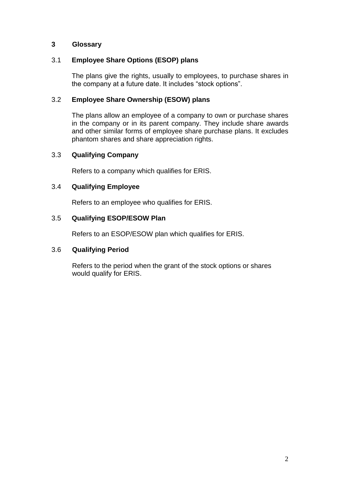## <span id="page-5-0"></span>**3 Glossary**

## 3.1 **Employee Share Options (ESOP) plans**

The plans give the rights, usually to employees, to purchase shares in the company at a future date. It includes "stock options".

## 3.2 **Employee Share Ownership (ESOW) plans**

The plans allow an employee of a company to own or purchase shares in the company or in its parent company. They include share awards and other similar forms of employee share purchase plans. It excludes phantom shares and share appreciation rights.

## 3.3 **Qualifying Company**

Refers to a company which qualifies for ERIS.

## 3.4 **Qualifying Employee**

Refers to an employee who qualifies for ERIS.

## 3.5 **Qualifying ESOP/ESOW Plan**

Refers to an ESOP/ESOW plan which qualifies for ERIS.

## 3.6 **Qualifying Period**

Refers to the period when the grant of the stock options or shares would qualify for ERIS.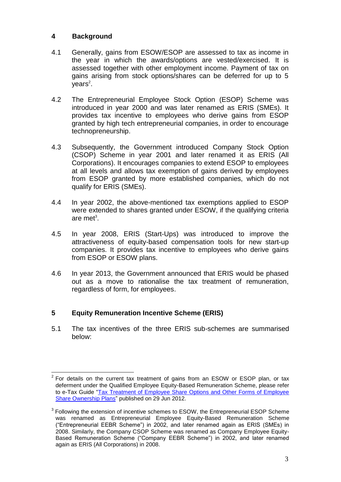## <span id="page-6-0"></span>**4 Background**

- 4.1 Generally, gains from ESOW/ESOP are assessed to tax as income in the year in which the awards/options are vested/exercised. It is assessed together with other employment income. Payment of tax on gains arising from stock options/shares can be deferred for up to 5 years<sup>2</sup>.
- 4.2 The Entrepreneurial Employee Stock Option (ESOP) Scheme was introduced in year 2000 and was later renamed as ERIS (SMEs). It provides tax incentive to employees who derive gains from ESOP granted by high tech entrepreneurial companies, in order to encourage technopreneurship.
- 4.3 Subsequently, the Government introduced Company Stock Option (CSOP) Scheme in year 2001 and later renamed it as ERIS (All Corporations). It encourages companies to extend ESOP to employees at all levels and allows tax exemption of gains derived by employees from ESOP granted by more established companies, which do not qualify for ERIS (SMEs).
- 4.4 In year 2002, the above-mentioned tax exemptions applied to ESOP were extended to shares granted under ESOW, if the qualifying criteria are met<sup>3</sup>.
- 4.5 In year 2008, ERIS (Start-Ups) was introduced to improve the attractiveness of equity-based compensation tools for new start-up companies. It provides tax incentive to employees who derive gains from ESOP or ESOW plans.
- 4.6 In year 2013, the Government announced that ERIS would be phased out as a move to rationalise the tax treatment of remuneration, regardless of form, for employees.

## <span id="page-6-1"></span>**5 Equity Remuneration Incentive Scheme (ERIS)**

5.1 The tax incentives of the three ERIS sub-schemes are summarised below:

<sup>&</sup>lt;u>.</u>  $2$  For details on the current tax treatment of gains from an ESOW or ESOP plan, or tax deferment under the Qualified Employee Equity-Based Remuneration Scheme, please refer to e-Tax Guide "Tax Treatment of Employee Share Options and Other Forms of Employee [Share Ownership Plans"](http://www.iras.gov.sg/irashome/uploadedfiles/e-Tax_Guide/Tax%20Treatment%20of%20Employee%20Share%20Options%20and%20Other%20Forms%20of%20Employee%20Share%20Ownership%20Plans_2012-6-29.pdf) published on 29 Jun 2012.

 $3$  Following the extension of incentive schemes to ESOW, the Entrepreneurial ESOP Scheme was renamed as Entrepreneurial Employee Equity-Based Remuneration Scheme ("Entrepreneurial EEBR Scheme") in 2002, and later renamed again as ERIS (SMEs) in 2008. Similarly, the Company CSOP Scheme was renamed as Company Employee Equity-Based Remuneration Scheme ("Company EEBR Scheme") in 2002, and later renamed again as ERIS (All Corporations) in 2008.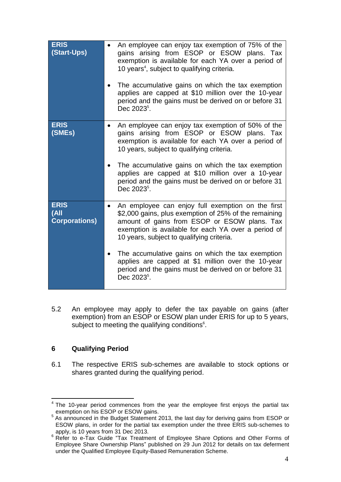| <b>ERIS</b><br>(Start-Ups)                  | An employee can enjoy tax exemption of 75% of the<br>gains arising from ESOP or ESOW plans. Tax<br>exemption is available for each YA over a period of<br>10 years <sup>4</sup> , subject to qualifying criteria.<br>The accumulative gains on which the tax exemption<br>applies are capped at \$10 million over the 10-year<br>period and the gains must be derived on or before 31<br>Dec 2023 <sup>5</sup> .                                             |
|---------------------------------------------|--------------------------------------------------------------------------------------------------------------------------------------------------------------------------------------------------------------------------------------------------------------------------------------------------------------------------------------------------------------------------------------------------------------------------------------------------------------|
| <b>ERIS</b><br>(SMEs)                       | An employee can enjoy tax exemption of 50% of the<br>gains arising from ESOP or ESOW plans. Tax<br>exemption is available for each YA over a period of<br>10 years, subject to qualifying criteria.<br>The accumulative gains on which the tax exemption<br>applies are capped at \$10 million over a 10-year<br>period and the gains must be derived on or before 31<br>Dec 2023 <sup>5</sup> .                                                             |
| <b>ERIS</b><br>(All<br><b>Corporations)</b> | An employee can enjoy full exemption on the first<br>\$2,000 gains, plus exemption of 25% of the remaining<br>amount of gains from ESOP or ESOW plans. Tax<br>exemption is available for each YA over a period of<br>10 years, subject to qualifying criteria.<br>The accumulative gains on which the tax exemption<br>applies are capped at \$1 million over the 10-year<br>period and the gains must be derived on or before 31<br>Dec 2023 <sup>5</sup> . |

5.2 An employee may apply to defer the tax payable on gains (after exemption) from an ESOP or ESOW plan under ERIS for up to 5 years, subject to meeting the qualifying conditions<sup>6</sup>.

## <span id="page-7-0"></span>**6 Qualifying Period**

6.1 The respective ERIS sub-schemes are available to stock options or shares granted during the qualifying period.

<sup>1</sup>  $4$  The 10-year period commences from the year the employee first enjoys the partial tax

exemption on his ESOP or ESOW gains.<br><sup>5</sup> As announced in the Budget Statement 2013, the last day for deriving gains from ESOP or ESOW plans, in order for the partial tax exemption under the three ERIS sub-schemes to apply, is 10 years from 31 Dec 2013.

<sup>&</sup>lt;sup>6</sup> Refer to e-Tax Guide "Tax Treatment of Employee Share Options and Other Forms of Employee Share Ownership Plans" published on 29 Jun 2012 for details on tax deferment under the Qualified Employee Equity-Based Remuneration Scheme.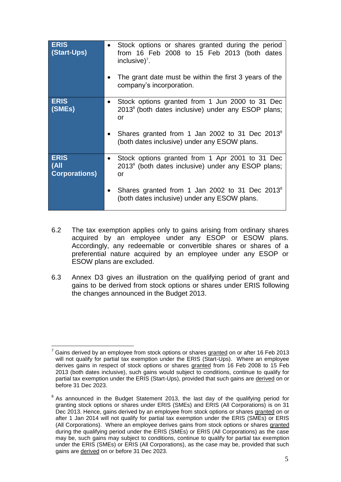| <b>ERIS</b><br>(Start-Ups)                                | Stock options or shares granted during the period<br>from 16 Feb 2008 to 15 Feb 2013 (both dates<br>inclusive) <sup>7</sup> .<br>The grant date must be within the first 3 years of the<br>company's incorporation.                   |
|-----------------------------------------------------------|---------------------------------------------------------------------------------------------------------------------------------------------------------------------------------------------------------------------------------------|
| <b>ERIS</b><br>(SMEs)                                     | Stock options granted from 1 Jun 2000 to 31 Dec<br>2013 <sup>8</sup> (both dates inclusive) under any ESOP plans;<br>or<br>Shares granted from 1 Jan 2002 to 31 Dec 2013 <sup>8</sup><br>(both dates inclusive) under any ESOW plans. |
| <b>ERIS</b><br>(A <sup>  </sup> )<br><b>Corporations)</b> | Stock options granted from 1 Apr 2001 to 31 Dec<br>2013 <sup>8</sup> (both dates inclusive) under any ESOP plans;<br>or<br>Shares granted from 1 Jan 2002 to 31 Dec 2013 <sup>8</sup><br>(both dates inclusive) under any ESOW plans. |

- 6.2 The tax exemption applies only to gains arising from ordinary shares acquired by an employee under any ESOP or ESOW plans. Accordingly, any redeemable or convertible shares or shares of a preferential nature acquired by an employee under any ESOP or ESOW plans are excluded.
- 6.3 Annex D3 gives an illustration on the qualifying period of grant and gains to be derived from stock options or shares under ERIS following the changes announced in the Budget 2013.

<sup>1</sup> Gains derived by an employee from stock options or shares granted on or after 16 Feb 2013 will not qualify for partial tax exemption under the ERIS (Start-Ups). Where an employee derives gains in respect of stock options or shares granted from 16 Feb 2008 to 15 Feb 2013 (both dates inclusive), such gains would subject to conditions, continue to qualify for partial tax exemption under the ERIS (Start-Ups), provided that such gains are derived on or before 31 Dec 2023.

 $8$  As announced in the Budget Statement 2013, the last day of the qualifying period for granting stock options or shares under ERIS (SMEs) and ERIS (All Corporations) is on 31 Dec 2013. Hence, gains derived by an employee from stock options or shares granted on or after 1 Jan 2014 will not qualify for partial tax exemption under the ERIS (SMEs) or ERIS (All Corporations). Where an employee derives gains from stock options or shares granted during the qualifying period under the ERIS (SMEs) or ERIS (All Corporations) as the case may be, such gains may subject to conditions, continue to qualify for partial tax exemption under the ERIS (SMEs) or ERIS (All Corporations), as the case may be, provided that such gains are derived on or before 31 Dec 2023.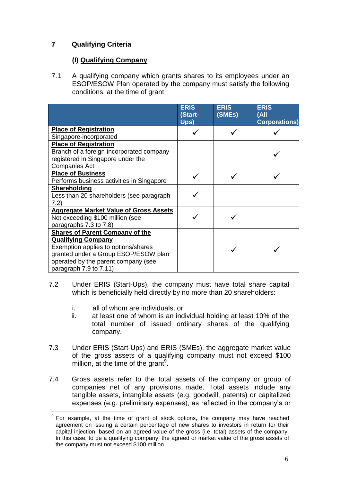## <span id="page-9-0"></span>**7 Qualifying Criteria**

## **(I) Qualifying Company**

7.1 A qualifying company which grants shares to its employees under an ESOP/ESOW Plan operated by the company must satisfy the following conditions, at the time of grant:

|                                               | <b>ERIS</b><br>(Start- | <b>ERIS</b><br>(SMEs) | <b>ERIS</b><br>(All  |
|-----------------------------------------------|------------------------|-----------------------|----------------------|
|                                               | Ups)                   |                       | <b>Corporations)</b> |
| <b>Place of Registration</b>                  |                        |                       |                      |
| Singapore-incorporated                        |                        |                       |                      |
| <b>Place of Registration</b>                  |                        |                       |                      |
| Branch of a foreign-incorporated company      |                        |                       |                      |
| registered in Singapore under the             |                        |                       |                      |
| <b>Companies Act</b>                          |                        |                       |                      |
| <b>Place of Business</b>                      |                        |                       |                      |
| Performs business activities in Singapore     |                        |                       |                      |
| Shareholding                                  |                        |                       |                      |
| Less than 20 shareholders (see paragraph      |                        |                       |                      |
| 7.2)                                          |                        |                       |                      |
| <b>Aggregate Market Value of Gross Assets</b> |                        |                       |                      |
| Not exceeding \$100 million (see              |                        |                       |                      |
| paragraphs 7.3 to 7.8)                        |                        |                       |                      |
| <b>Shares of Parent Company of the</b>        |                        |                       |                      |
| <b>Qualifying Company</b>                     |                        |                       |                      |
| Exemption applies to options/shares           |                        |                       |                      |
| granted under a Group ESOP/ESOW plan          |                        |                       |                      |
| operated by the parent company (see           |                        |                       |                      |
| paragraph 7.9 to 7.11)                        |                        |                       |                      |

- 7.2 Under ERIS (Start-Ups), the company must have total share capital which is beneficially held directly by no more than 20 shareholders:
	- i. all of whom are individuals; or
	- ii. at least one of whom is an individual holding at least 10% of the total number of issued ordinary shares of the qualifying company.
- 7.3 Under ERIS (Start-Ups) and ERIS (SMEs), the aggregate market value of the gross assets of a qualifying company must not exceed \$100 million, at the time of the grant<sup>9</sup>.
- 7.4 Gross assets refer to the total assets of the company or group of companies net of any provisions made. Total assets include any tangible assets, intangible assets (e.g. goodwill, patents) or capitalized expenses (e.g. preliminary expenses), as reflected in the company's or

 9 For example, at the time of grant of stock options, the company may have reached agreement on issuing a certain percentage of new shares to investors in return for their capital injection, based on an agreed value of the gross (i.e. total) assets of the company. In this case, to be a qualifying company, the agreed or market value of the gross assets of the company must not exceed \$100 million.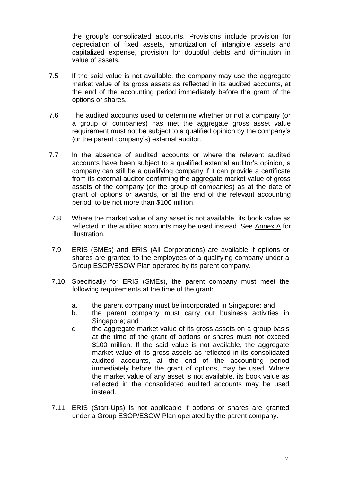the group's consolidated accounts. Provisions include provision for depreciation of fixed assets, amortization of intangible assets and capitalized expense, provision for doubtful debts and diminution in value of assets.

- 7.5 If the said value is not available, the company may use the aggregate market value of its gross assets as reflected in its audited accounts, at the end of the accounting period immediately before the grant of the options or shares.
- 7.6 The audited accounts used to determine whether or not a company (or a group of companies) has met the aggregate gross asset value requirement must not be subject to a qualified opinion by the company's (or the parent company's) external auditor.
- 7.7 In the absence of audited accounts or where the relevant audited accounts have been subject to a qualified external auditor's opinion, a company can still be a qualifying company if it can provide a certificate from its external auditor confirming the aggregate market value of gross assets of the company (or the group of companies) as at the date of grant of options or awards, or at the end of the relevant accounting period, to be not more than \$100 million.
- 7.8 Where the market value of any asset is not available, its book value as reflected in the audited accounts may be used instead. See Annex A for illustration.
- 7.9 ERIS (SMEs) and ERIS (All Corporations) are available if options or shares are granted to the employees of a qualifying company under a Group ESOP/ESOW Plan operated by its parent company.
- 7.10 Specifically for ERIS (SMEs), the parent company must meet the following requirements at the time of the grant:
	- a. the parent company must be incorporated in Singapore; and
	- b. the parent company must carry out business activities in Singapore; and
	- c. the aggregate market value of its gross assets on a group basis at the time of the grant of options or shares must not exceed \$100 million. If the said value is not available, the aggregate market value of its gross assets as reflected in its consolidated audited accounts, at the end of the accounting period immediately before the grant of options, may be used. Where the market value of any asset is not available, its book value as reflected in the consolidated audited accounts may be used instead.
- 7.11 ERIS (Start-Ups) is not applicable if options or shares are granted under a Group ESOP/ESOW Plan operated by the parent company.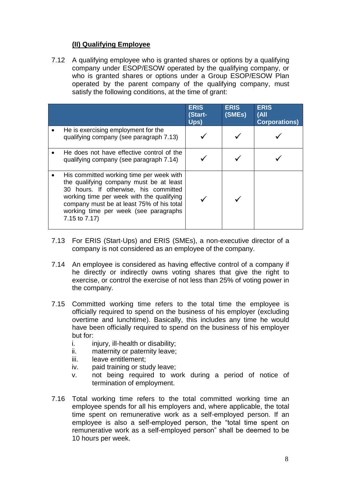## **(II) Qualifying Employee**

7.12 A qualifying employee who is granted shares or options by a qualifying company under ESOP/ESOW operated by the qualifying company, or who is granted shares or options under a Group ESOP/ESOW Plan operated by the parent company of the qualifying company, must satisfy the following conditions, at the time of grant:

|                                                                                                                                                                                                                                                                                  | <b>ERIS</b><br>(Start-<br>Ups) | <b>ERIS</b><br>(SMEs) | <b>ERIS</b><br>(A <sup>  </sup> )<br><b>Corporations</b> ) |
|----------------------------------------------------------------------------------------------------------------------------------------------------------------------------------------------------------------------------------------------------------------------------------|--------------------------------|-----------------------|------------------------------------------------------------|
| He is exercising employment for the<br>qualifying company (see paragraph 7.13)                                                                                                                                                                                                   |                                |                       |                                                            |
| He does not have effective control of the<br>qualifying company (see paragraph 7.14)                                                                                                                                                                                             |                                |                       |                                                            |
| His committed working time per week with<br>the qualifying company must be at least<br>30 hours. If otherwise, his committed<br>working time per week with the qualifying<br>company must be at least 75% of his total<br>working time per week (see paragraphs<br>7.15 to 7.17) |                                |                       |                                                            |

- 7.13 For ERIS (Start-Ups) and ERIS (SMEs), a non-executive director of a company is not considered as an employee of the company.
- 7.14 An employee is considered as having effective control of a company if he directly or indirectly owns voting shares that give the right to exercise, or control the exercise of not less than 25% of voting power in the company.
- 7.15 Committed working time refers to the total time the employee is officially required to spend on the business of his employer (excluding overtime and lunchtime). Basically, this includes any time he would have been officially required to spend on the business of his employer but for:
	- i. injury, ill-health or disability;
	- ii. maternity or paternity leave;
	- iii. leave entitlement;
	- iv. paid training or study leave;
	- v. not being required to work during a period of notice of termination of employment.
- 7.16 Total working time refers to the total committed working time an employee spends for all his employers and, where applicable, the total time spent on remunerative work as a self-employed person. If an employee is also a self-employed person, the "total time spent on remunerative work as a self-employed person" shall be deemed to be 10 hours per week.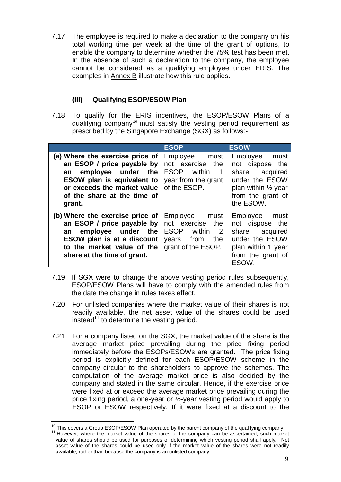7.17 The employee is required to make a declaration to the company on his total working time per week at the time of the grant of options, to enable the company to determine whether the 75% test has been met. In the absence of such a declaration to the company, the employee cannot be considered as a qualifying employee under ERIS. The examples in Annex B illustrate how this rule applies.

## **(III) Qualifying ESOP/ESOW Plan**

7.18 To qualify for the ERIS incentives, the ESOP/ESOW Plans of a qualifying company<sup>10</sup> must satisfy the vesting period requirement as prescribed by the Singapore Exchange (SGX) as follows:-

|                                                                                                                                                                                                                   | <b>ESOP</b>                                                                                                                                  | <b>ESOW</b>                                                                                                                              |
|-------------------------------------------------------------------------------------------------------------------------------------------------------------------------------------------------------------------|----------------------------------------------------------------------------------------------------------------------------------------------|------------------------------------------------------------------------------------------------------------------------------------------|
| (a) Where the exercise price of<br>an ESOP / price payable by<br>employee under<br>the<br>an<br>ESOW plan is equivalent to<br>or exceeds the market value   of the ESOP.<br>of the share at the time of<br>grant. | Employee must<br>not exercise<br>the<br><b>ESOP</b><br>within<br>$\overline{1}$<br>year from the grant                                       | Employee must<br>not dispose the<br>share acquired<br>under the ESOW<br>plan within $\frac{1}{2}$ year<br>from the grant of<br>the ESOW. |
| (b) Where the exercise price of<br>an ESOP / price payable by $ $<br>employee under the<br>an<br>ESOW plan is at a discount<br>to the market value of the<br>share at the time of grant.                          | Employee<br>must<br>not exercise<br>the<br><b>ESOP</b><br>within<br>$\overline{\phantom{0}}^2$<br>from<br>the<br>years<br>grant of the ESOP. | Employee<br>must<br>not dispose the<br>share acquired<br>under the ESOW<br>plan within 1 year<br>from the grant of<br>ESOW.              |

- 7.19 If SGX were to change the above vesting period rules subsequently, ESOP/ESOW Plans will have to comply with the amended rules from the date the change in rules takes effect.
- 7.20 For unlisted companies where the market value of their shares is not readily available, the net asset value of the shares could be used instead $11$  to determine the vesting period.
- 7.21 For a company listed on the SGX, the market value of the share is the average market price prevailing during the price fixing period immediately before the ESOPs/ESOWs are granted. The price fixing period is explicitly defined for each ESOP/ESOW scheme in the company circular to the shareholders to approve the schemes. The computation of the average market price is also decided by the company and stated in the same circular. Hence, if the exercise price were fixed at or exceed the average market price prevailing during the price fixing period, a one-year or ½-year vesting period would apply to ESOP or ESOW respectively. If it were fixed at a discount to the

<sup>&</sup>lt;u>.</u>  $10$  This covers a Group ESOP/ESOW Plan operated by the parent company of the qualifying company.

<sup>&</sup>lt;sup>11</sup> However, where the market value of the shares of the company can be ascertained, such market value of shares should be used for purposes of determining which vesting period shall apply. Net asset value of the shares could be used only if the market value of the shares were not readily available, rather than because the company is an unlisted company.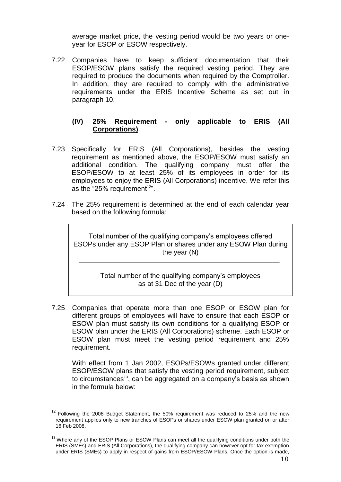average market price, the vesting period would be two years or oneyear for ESOP or ESOW respectively.

7.22 Companies have to keep sufficient documentation that their ESOP/ESOW plans satisfy the required vesting period. They are required to produce the documents when required by the Comptroller. In addition, they are required to comply with the administrative requirements under the ERIS Incentive Scheme as set out in paragraph 10.

## **(IV) 25% Requirement - only applicable to ERIS (All Corporations)**

- 7.23 Specifically for ERIS (All Corporations), besides the vesting requirement as mentioned above, the ESOP/ESOW must satisfy an additional condition. The qualifying company must offer the ESOP/ESOW to at least 25% of its employees in order for its employees to enjoy the ERIS (All Corporations) incentive. We refer this as the "25% requirement $12$ ".
- 7.24 The 25% requirement is determined at the end of each calendar year based on the following formula:

Total number of the qualifying company's employees offered ESOPs under any ESOP Plan or shares under any ESOW Plan during the year (N)

> Total number of the qualifying company's employees as at 31 Dec of the year (D)

7.25 Companies that operate more than one ESOP or ESOW plan for different groups of employees will have to ensure that each ESOP or ESOW plan must satisfy its own conditions for a qualifying ESOP or ESOW plan under the ERIS (All Corporations) scheme. Each ESOP or ESOW plan must meet the vesting period requirement and 25% requirement.

With effect from 1 Jan 2002, ESOPs/ESOWs granted under different ESOP/ESOW plans that satisfy the vesting period requirement, subject to circumstances<sup>13</sup>, can be aggregated on a company's basis as shown in the formula below:

 $12$  Following the 2008 Budget Statement, the 50% requirement was reduced to 25% and the new requirement applies only to new tranches of ESOPs or shares under ESOW plan granted on or after 16 Feb 2008.

<sup>&</sup>lt;sup>13</sup> Where any of the ESOP Plans or ESOW Plans can meet all the qualifying conditions under both the ERIS (SMEs) and ERIS (All Corporations), the qualifying company can however opt for tax exemption under ERIS (SMEs) to apply in respect of gains from ESOP/ESOW Plans. Once the option is made,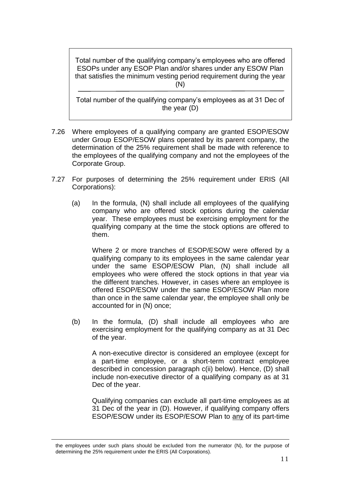Total number of the qualifying company's employees who are offered ESOPs under any ESOP Plan and/or shares under any ESOW Plan that satisfies the minimum vesting period requirement during the year (N)

j Total number of the qualifying company's employees as at 31 Dec of the year (D)

- 7.26 Where employees of a qualifying company are granted ESOP/ESOW under Group ESOP/ESOW plans operated by its parent company, the determination of the 25% requirement shall be made with reference to the employees of the qualifying company and not the employees of the Corporate Group.
- 7.27 For purposes of determining the 25% requirement under ERIS (All Corporations):
	- (a) In the formula, (N) shall include all employees of the qualifying company who are offered stock options during the calendar year. These employees must be exercising employment for the qualifying company at the time the stock options are offered to them.

Where 2 or more tranches of ESOP/ESOW were offered by a qualifying company to its employees in the same calendar year under the same ESOP/ESOW Plan, (N) shall include all employees who were offered the stock options in that year via the different tranches. However, in cases where an employee is offered ESOP/ESOW under the same ESOP/ESOW Plan more than once in the same calendar year, the employee shall only be accounted for in (N) once;

(b) In the formula, (D) shall include all employees who are exercising employment for the qualifying company as at 31 Dec of the year.

A non-executive director is considered an employee (except for a part-time employee, or a short-term contract employee described in concession paragraph c(ii) below). Hence, (D) shall include non-executive director of a qualifying company as at 31 Dec of the year.

Qualifying companies can exclude all part-time employees as at 31 Dec of the year in (D). However, if qualifying company offers ESOP/ESOW under its ESOP/ESOW Plan to any of its part-time

<u>.</u>

the employees under such plans should be excluded from the numerator (N), for the purpose of determining the 25% requirement under the ERIS (All Corporations).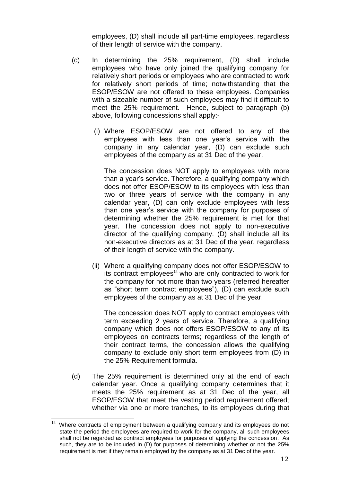employees, (D) shall include all part-time employees, regardless of their length of service with the company.

- (c) In determining the 25% requirement, (D) shall include employees who have only joined the qualifying company for relatively short periods or employees who are contracted to work for relatively short periods of time; notwithstanding that the ESOP/ESOW are not offered to these employees. Companies with a sizeable number of such employees may find it difficult to meet the 25% requirement. Hence, subject to paragraph (b) above, following concessions shall apply:-
	- (i) Where ESOP/ESOW are not offered to any of the employees with less than one year's service with the company in any calendar year, (D) can exclude such employees of the company as at 31 Dec of the year.

The concession does NOT apply to employees with more than a year's service. Therefore, a qualifying company which does not offer ESOP/ESOW to its employees with less than two or three years of service with the company in any calendar year, (D) can only exclude employees with less than one year's service with the company for purposes of determining whether the 25% requirement is met for that year. The concession does not apply to non-executive director of the qualifying company. (D) shall include all its non-executive directors as at 31 Dec of the year, regardless of their length of service with the company.

(ii) Where a qualifying company does not offer ESOP/ESOW to its contract employees<sup>14</sup> who are only contracted to work for the company for not more than two years (referred hereafter as "short term contract employees"), (D) can exclude such employees of the company as at 31 Dec of the year.

The concession does NOT apply to contract employees with term exceeding 2 years of service. Therefore, a qualifying company which does not offers ESOP/ESOW to any of its employees on contracts terms; regardless of the length of their contract terms, the concession allows the qualifying company to exclude only short term employees from (D) in the 25% Requirement formula.

(d) The 25% requirement is determined only at the end of each calendar year. Once a qualifying company determines that it meets the 25% requirement as at 31 Dec of the year, all ESOP/ESOW that meet the vesting period requirement offered; whether via one or more tranches, to its employees during that

Where contracts of employment between a qualifying company and its employees do not state the period the employees are required to work for the company, all such employees shall not be regarded as contract employees for purposes of applying the concession. As such, they are to be included in (D) for purposes of determining whether or not the 25% requirement is met if they remain employed by the company as at 31 Dec of the year.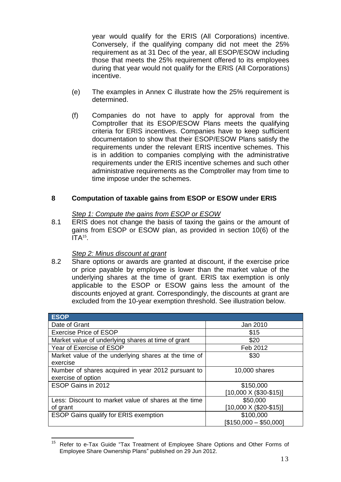year would qualify for the ERIS (All Corporations) incentive. Conversely, if the qualifying company did not meet the 25% requirement as at 31 Dec of the year, all ESOP/ESOW including those that meets the 25% requirement offered to its employees during that year would not qualify for the ERIS (All Corporations) incentive.

- (e) The examples in Annex C illustrate how the 25% requirement is determined.
- (f) Companies do not have to apply for approval from the Comptroller that its ESOP/ESOW Plans meets the qualifying criteria for ERIS incentives. Companies have to keep sufficient documentation to show that their ESOP/ESOW Plans satisfy the requirements under the relevant ERIS incentive schemes. This is in addition to companies complying with the administrative requirements under the ERIS incentive schemes and such other administrative requirements as the Comptroller may from time to time impose under the schemes.

## <span id="page-16-0"></span>**8 Computation of taxable gains from ESOP or ESOW under ERIS**

## *Step 1: Compute the gains from ESOP or ESOW*

8.1 ERIS does not change the basis of taxing the gains or the amount of gains from ESOP or ESOW plan, as provided in section 10(6) of the  $ITA<sup>15</sup>$ .

## *Step 2: Minus discount at grant*

8.2 Share options or awards are granted at discount, if the exercise price or price payable by employee is lower than the market value of the underlying shares at the time of grant. ERIS tax exemption is only applicable to the ESOP or ESOW gains less the amount of the discounts enjoyed at grant. Correspondingly, the discounts at grant are excluded from the 10-year exemption threshold. See illustration below.

| <b>ESOP</b>                                          |                                 |
|------------------------------------------------------|---------------------------------|
| Date of Grant                                        | Jan 2010                        |
| <b>Exercise Price of ESOP</b>                        | \$15                            |
| Market value of underlying shares at time of grant   | \$20                            |
| Year of Exercise of ESOP                             | Feb 2012                        |
| Market value of the underlying shares at the time of | \$30                            |
| exercise                                             |                                 |
| Number of shares acquired in year 2012 pursuant to   | 10,000 shares                   |
| exercise of option                                   |                                 |
| ESOP Gains in 2012                                   | \$150,000                       |
|                                                      | $[10,000 \times (\$30 - \$15)]$ |
| Less: Discount to market value of shares at the time | \$50,000                        |
| of grant                                             | $[10,000 \times (\$20-\$15)]$   |
| <b>ESOP Gains qualify for ERIS exemption</b>         | \$100,000                       |
|                                                      | [\$150,000 - \$50,000]          |

<sup>15</sup> Refer to e-Tax Guide "Tax Treatment of Employee Share Options and Other Forms of Employee Share Ownership Plans" published on 29 Jun 2012.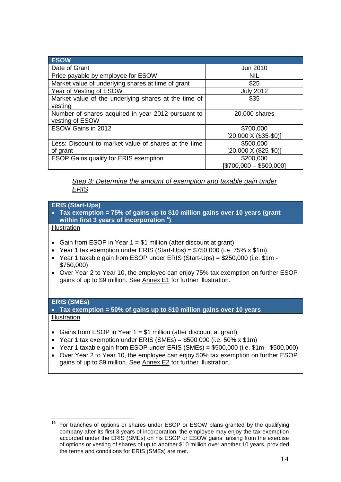| <b>ESOW</b>                                          |                              |
|------------------------------------------------------|------------------------------|
| Date of Grant                                        | Jun 2010                     |
| Price payable by employee for ESOW                   | <b>NIL</b>                   |
| Market value of underlying shares at time of grant   | \$25                         |
| Year of Vesting of ESOW                              | <b>July 2012</b>             |
| Market value of the underlying shares at the time of | \$35                         |
| vesting                                              |                              |
| Number of shares acquired in year 2012 pursuant to   | 20,000 shares                |
| vesting of ESOW                                      |                              |
| ESOW Gains in 2012                                   | \$700,000                    |
|                                                      | $[20,000 \times (\$35-\$0)]$ |
| Less: Discount to market value of shares at the time | \$500,000                    |
| of grant                                             | [20,000 X (\$25-\$0)]        |
| <b>ESOP Gains qualify for ERIS exemption</b>         | \$200,000                    |
|                                                      | $[$700,000 - $500,000]$      |

*Step 3: Determine the amount of exemption and taxable gain under ERIS*

## **ERIS (Start-Ups)**

- **Tax exemption = 75% of gains up to \$10 million gains over 10 years (grant within first 3 years of incorporation<sup>16</sup>)**
- Illustration
- Gain from ESOP in Year  $1 = $1$  million (after discount at grant)
- Year 1 tax exemption under ERIS (Start-Ups) =  $$750,000$  (i.e.  $75\%$  x  $$1m$ )
- Year 1 taxable gain from ESOP under ERIS (Start-Ups) = \$250,000 (i.e. \$1m \$750,000)
- Over Year 2 to Year 10, the employee can enjoy 75% tax exemption on further ESOP gains of up to \$9 million. See Annex E1 for further illustration.

## **ERIS (SMEs)**

 **Tax exemption = 50% of gains up to \$10 million gains over 10 years Illustration** 

- Gains from ESOP in Year  $1 = $1$  million (after discount at grant)
- Year 1 tax exemption under ERIS (SMEs) =  $$500,000$  (i.e.  $50\%$  x  $$1m$ )
- $\bullet$  Year 1 taxable gain from ESOP under ERIS (SMEs) = \$500,000 (i.e. \$1m \$500,000)
- Over Year 2 to Year 10, the employee can enjoy 50% tax exemption on further ESOP gains of up to \$9 million. See Annex E2 for further illustration.

<sup>16</sup> <sup>16</sup> For tranches of options or shares under ESOP or ESOW plans granted by the qualifying company after its first 3 years of incorporation, the employee may enjoy the tax exemption accorded under the ERIS (SMEs) on his ESOP or ESOW gains arising from the exercise of options or vesting of shares of up to another \$10 million over another 10 years, provided the terms and conditions for ERIS (SMEs) are met.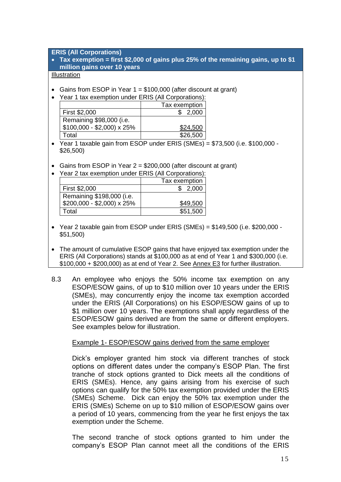**ERIS (All Corporations)**

 **Tax exemption = first \$2,000 of gains plus 25% of the remaining gains, up to \$1 million gains over 10 years**

## **Illustration**

- Gains from ESOP in Year  $1 = $100,000$  (after discount at grant)
- Year 1 tax exemption under ERIS (All Corporations):

|                           | Tax exemption |
|---------------------------|---------------|
| First \$2,000             | \$2,000       |
| Remaining \$98,000 (i.e.  |               |
| $$100,000 - $2,000$ x 25% | \$24,500      |
| Total                     | \$26,500      |

 $\overline{Y}$ ear 1 taxable gain from ESOP under ERIS (SMEs) = \$73,500 (i.e. \$100,000 -\$26,500)

- Gains from ESOP in Year 2 = \$200,000 (after discount at grant)
- Year 2 tax exemption under ERIS (All Corporations):

|                             | Tax exemption |
|-----------------------------|---------------|
| First \$2,000               | \$2,000       |
| Remaining \$198,000 (i.e.   |               |
| $$200,000 - $2,000$ x $25%$ | \$49,500      |
| Total                       | \$51,500      |

- $\bullet$  Year 2 taxable gain from ESOP under ERIS (SMEs) = \$149,500 (i.e. \$200,000 -\$51,500)
- The amount of cumulative ESOP gains that have enjoyed tax exemption under the ERIS (All Corporations) stands at \$100,000 as at end of Year 1 and \$300,000 (i.e. \$100,000 + \$200,000) as at end of Year 2. See Annex E3 for further illustration.
- 8.3 An employee who enjoys the 50% income tax exemption on any ESOP/ESOW gains, of up to \$10 million over 10 years under the ERIS (SMEs), may concurrently enjoy the income tax exemption accorded under the ERIS (All Corporations) on his ESOP/ESOW gains of up to \$1 million over 10 years. The exemptions shall apply regardless of the ESOP/ESOW gains derived are from the same or different employers. See examples below for illustration.

## Example 1- ESOP/ESOW gains derived from the same employer

Dick's employer granted him stock via different tranches of stock options on different dates under the company's ESOP Plan. The first tranche of stock options granted to Dick meets all the conditions of ERIS (SMEs). Hence, any gains arising from his exercise of such options can qualify for the 50% tax exemption provided under the ERIS (SMEs) Scheme. Dick can enjoy the 50% tax exemption under the ERIS (SMEs) Scheme on up to \$10 million of ESOP/ESOW gains over a period of 10 years, commencing from the year he first enjoys the tax exemption under the Scheme.

The second tranche of stock options granted to him under the company's ESOP Plan cannot meet all the conditions of the ERIS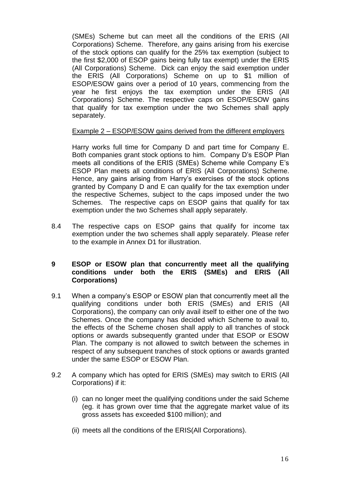(SMEs) Scheme but can meet all the conditions of the ERIS (All Corporations) Scheme. Therefore, any gains arising from his exercise of the stock options can qualify for the 25% tax exemption (subject to the first \$2,000 of ESOP gains being fully tax exempt) under the ERIS (All Corporations) Scheme. Dick can enjoy the said exemption under the ERIS (All Corporations) Scheme on up to \$1 million of ESOP/ESOW gains over a period of 10 years, commencing from the year he first enjoys the tax exemption under the ERIS (All Corporations) Scheme. The respective caps on ESOP/ESOW gains that qualify for tax exemption under the two Schemes shall apply separately.

## Example 2 – ESOP/ESOW gains derived from the different employers

Harry works full time for Company D and part time for Company E. Both companies grant stock options to him. Company D's ESOP Plan meets all conditions of the ERIS (SMEs) Scheme while Company E's ESOP Plan meets all conditions of ERIS (All Corporations) Scheme. Hence, any gains arising from Harry's exercises of the stock options granted by Company D and E can qualify for the tax exemption under the respective Schemes, subject to the caps imposed under the two Schemes. The respective caps on ESOP gains that qualify for tax exemption under the two Schemes shall apply separately.

8.4 The respective caps on ESOP gains that qualify for income tax exemption under the two schemes shall apply separately. Please refer to the example in Annex D1 for illustration.

## <span id="page-19-0"></span>**9 ESOP or ESOW plan that concurrently meet all the qualifying conditions under both the ERIS (SMEs) and ERIS (All Corporations)**

- 9.1 When a company's ESOP or ESOW plan that concurrently meet all the qualifying conditions under both ERIS (SMEs) and ERIS (All Corporations), the company can only avail itself to either one of the two Schemes. Once the company has decided which Scheme to avail to, the effects of the Scheme chosen shall apply to all tranches of stock options or awards subsequently granted under that ESOP or ESOW Plan. The company is not allowed to switch between the schemes in respect of any subsequent tranches of stock options or awards granted under the same ESOP or ESOW Plan.
- 9.2 A company which has opted for ERIS (SMEs) may switch to ERIS (All Corporations) if it:
	- (i) can no longer meet the qualifying conditions under the said Scheme (eg. it has grown over time that the aggregate market value of its gross assets has exceeded \$100 million); and
	- (ii) meets all the conditions of the ERIS(All Corporations).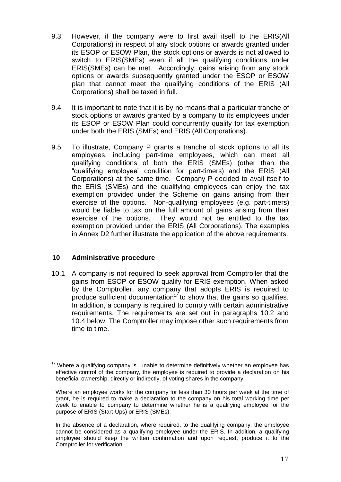- 9.3 However, if the company were to first avail itself to the ERIS(All Corporations) in respect of any stock options or awards granted under its ESOP or ESOW Plan, the stock options or awards is not allowed to switch to ERIS(SMEs) even if all the qualifying conditions under ERIS(SMEs) can be met. Accordingly, gains arising from any stock options or awards subsequently granted under the ESOP or ESOW plan that cannot meet the qualifying conditions of the ERIS (All Corporations) shall be taxed in full.
- 9.4 It is important to note that it is by no means that a particular tranche of stock options or awards granted by a company to its employees under its ESOP or ESOW Plan could concurrently qualify for tax exemption under both the ERIS (SMEs) and ERIS (All Corporations).
- 9.5 To illustrate, Company P grants a tranche of stock options to all its employees, including part-time employees, which can meet all qualifying conditions of both the ERIS (SMEs) (other than the "qualifying employee" condition for part-timers) and the ERIS (All Corporations) at the same time. Company P decided to avail itself to the ERIS (SMEs) and the qualifying employees can enjoy the tax exemption provided under the Scheme on gains arising from their exercise of the options. Non-qualifying employees (e.g. part-timers) would be liable to tax on the full amount of gains arising from their exercise of the options. They would not be entitled to the tax exemption provided under the ERIS (All Corporations). The examples in Annex D2 further illustrate the application of the above requirements.

## <span id="page-20-0"></span>**10 Administrative procedure**

10.1 A company is not required to seek approval from Comptroller that the gains from ESOP or ESOW qualify for ERIS exemption. When asked by the Comptroller, any company that adopts ERIS is required to produce sufficient documentation<sup>17</sup> to show that the gains so qualifies. In addition, a company is required to comply with certain administrative requirements. The requirements are set out in paragraphs 10.2 and 10.4 below. The Comptroller may impose other such requirements from time to time.

<sup>1</sup>  $17$  Where a qualifying company is unable to determine definitively whether an employee has effective control of the company, the employee is required to provide a declaration on his beneficial ownership, directly or indirectly, of voting shares in the company.

Where an employee works for the company for less than 30 hours per week at the time of grant, he is required to make a declaration to the company on his total working time per week to enable to company to determine whether he is a qualifying employee for the purpose of ERIS (Start-Ups) or ERIS (SMEs).

In the absence of a declaration, where required, to the qualifying company, the employee cannot be considered as a qualifying employee under the ERIS. In addition, a qualifying employee should keep the written confirmation and upon request, produce it to the Comptroller for verification.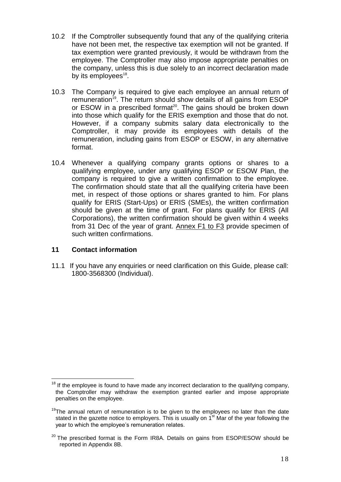- 10.2 If the Comptroller subsequently found that any of the qualifying criteria have not been met, the respective tax exemption will not be granted. If tax exemption were granted previously, it would be withdrawn from the employee. The Comptroller may also impose appropriate penalties on the company, unless this is due solely to an incorrect declaration made by its employees<sup>18</sup>.
- 10.3 The Company is required to give each employee an annual return of remuneration<sup>19</sup>. The return should show details of all gains from ESOP or ESOW in a prescribed format<sup>20</sup>. The gains should be broken down into those which qualify for the ERIS exemption and those that do not. However, if a company submits salary data electronically to the Comptroller, it may provide its employees with details of the remuneration, including gains from ESOP or ESOW, in any alternative format.
- 10.4 Whenever a qualifying company grants options or shares to a qualifying employee, under any qualifying ESOP or ESOW Plan, the company is required to give a written confirmation to the employee. The confirmation should state that all the qualifying criteria have been met, in respect of those options or shares granted to him. For plans qualify for ERIS (Start-Ups) or ERIS (SMEs), the written confirmation should be given at the time of grant. For plans qualify for ERIS (All Corporations), the written confirmation should be given within 4 weeks from 31 Dec of the year of grant. Annex F1 to F3 provide specimen of such written confirmations.

## <span id="page-21-0"></span>**11 Contact information**

1

11.1 If you have any enquiries or need clarification on this Guide, please call: 1800-3568300 (Individual).

 $18$  If the employee is found to have made any incorrect declaration to the qualifying company, the Comptroller may withdraw the exemption granted earlier and impose appropriate penalties on the employee.

<sup>&</sup>lt;sup>19</sup>The annual return of remuneration is to be given to the employees no later than the date stated in the gazette notice to employers. This is usually on  $1<sup>st</sup>$  Mar of the year following the year to which the employee's remuneration relates.

 $20$  The prescribed format is the Form IR8A. Details on gains from ESOP/ESOW should be reported in Appendix 8B.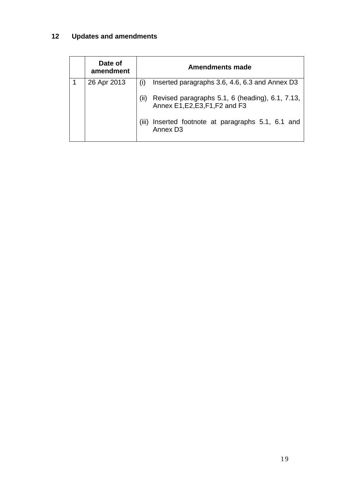## <span id="page-22-0"></span>**12 Updates and amendments**

| Date of<br>amendment | <b>Amendments made</b>                                                                     |  |  |
|----------------------|--------------------------------------------------------------------------------------------|--|--|
| 26 Apr 2013          | Inserted paragraphs 3.6, 4.6, 6.3 and Annex D3<br>(i)                                      |  |  |
|                      | (ii)<br>Revised paragraphs 5.1, 6 (heading), 6.1, 7.13,<br>Annex E1, E2, E3, F1, F2 and F3 |  |  |
|                      | Inserted footnote at paragraphs 5.1, 6.1 and<br>(III)<br>Annex D <sub>3</sub>              |  |  |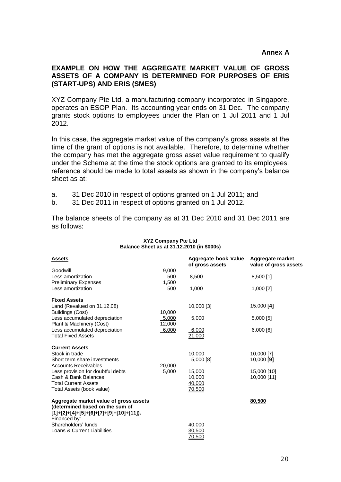## <span id="page-23-0"></span>**EXAMPLE ON HOW THE AGGREGATE MARKET VALUE OF GROSS ASSETS OF A COMPANY IS DETERMINED FOR PURPOSES OF ERIS (START-UPS) AND ERIS (SMES)**

XYZ Company Pte Ltd, a manufacturing company incorporated in Singapore, operates an ESOP Plan. Its accounting year ends on 31 Dec. The company grants stock options to employees under the Plan on 1 Jul 2011 and 1 Jul 2012.

In this case, the aggregate market value of the company's gross assets at the time of the grant of options is not available. Therefore, to determine whether the company has met the aggregate gross asset value requirement to qualify under the Scheme at the time the stock options are granted to its employees, reference should be made to total assets as shown in the company's balance sheet as at:

a. 31 Dec 2010 in respect of options granted on 1 Jul 2011; and

b. 31 Dec 2011 in respect of options granted on 1 Jul 2012.

The balance sheets of the company as at 31 Dec 2010 and 31 Dec 2011 are as follows:

| Balance Sheet as at 31.12.2010 (in \$000s)                                                                                                           |                       |                                         |                                           |
|------------------------------------------------------------------------------------------------------------------------------------------------------|-----------------------|-----------------------------------------|-------------------------------------------|
| <b>Assets</b>                                                                                                                                        |                       | Aggregate book Value<br>of gross assets | Aggregate market<br>value of gross assets |
| Goodwill<br>Less amortization<br><b>Preliminary Expenses</b>                                                                                         | 9.000<br>500<br>1,500 | 8,500                                   | 8,500 [1]                                 |
| Less amortization                                                                                                                                    | 500                   | 1,000                                   | 1,000 [2]                                 |
| <b>Fixed Assets</b><br>Land (Revalued on 31.12.08)<br>Buildings (Cost)                                                                               | 10,000                | 10,000 [3]                              | 15,000 [4]                                |
| Less accumulated depreciation<br>Plant & Machinery (Cost)                                                                                            | 5,000<br>12,000       | 5,000                                   | $5,000$ [5]                               |
| Less accumulated depreciation<br><b>Total Fixed Assets</b>                                                                                           | 6,000                 | 6,000<br>21,000                         | 6,000 [6]                                 |
| <b>Current Assets</b><br>Stock in trade<br>Short term share investments                                                                              |                       | 10,000<br>5,000 [8]                     | 10,000 [7]<br>10,000 $[9]$                |
| <b>Accounts Receivables</b><br>Less provision for doubtful debts<br>Cash & Bank Balances<br><b>Total Current Assets</b><br>Total Assets (book value) | 20,000<br>5,000       | 15,000<br>10,000<br>40,000<br>70,500    | 15,000 [10]<br>10,000 [11]                |
| Aggregate market value of gross assets<br>(determined based on the sum of<br>$[1]+[2]+[4]+[5]+[6]+[7]+[9]+[10]+[11].$                                |                       |                                         | 80.500                                    |
| Financed by:<br>Shareholders' funds<br>Loans & Current Liabilities                                                                                   |                       | 40,000<br>30,500<br>70,500              |                                           |

## **XYZ Company Pte Ltd Balance Sheet as at 31.12.2010 (in \$000s)**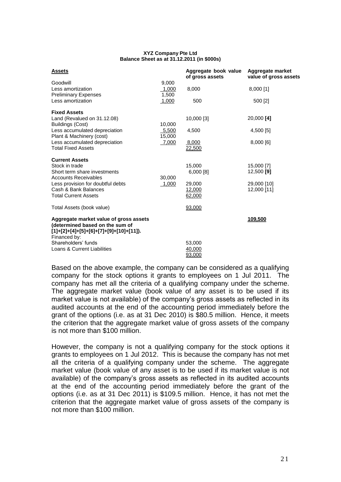### **XYZ Company Pte Ltd Balance Sheet as at 31.12.2011 (in \$000s)**

| <b>Assets</b>                                                                                                                         |                         | Aggregate book value<br>of gross assets | Aggregate market<br>value of gross assets |
|---------------------------------------------------------------------------------------------------------------------------------------|-------------------------|-----------------------------------------|-------------------------------------------|
| Goodwill<br>Less amortization<br><b>Preliminary Expenses</b>                                                                          | 9,000<br>1,000<br>1,500 | 8,000                                   | 8,000 [1]                                 |
| Less amortization                                                                                                                     | 1,000                   | 500                                     | 500 [2]                                   |
| <b>Fixed Assets</b><br>Land (Revalued on 31.12.08)<br>Buildings (Cost)                                                                | 10,000                  | 10,000 [3]                              | 20,000 [4]                                |
| Less accumulated depreciation                                                                                                         | 5,500                   | 4,500                                   | 4,500 [5]                                 |
| Plant & Machinery (cost)<br>Less accumulated depreciation<br><b>Total Fixed Assets</b>                                                | 15,000<br>7,000         | 8,000<br>22,500                         | 8,000 [6]                                 |
| <b>Current Assets</b>                                                                                                                 |                         |                                         |                                           |
| Stock in trade<br>Short term share investments<br><b>Accounts Receivables</b>                                                         | 30,000                  | 15,000<br>$6,000$ [8]                   | 15,000 [7]<br>12,500 [9]                  |
| Less provision for doubtful debts<br>Cash & Bank Balances<br><b>Total Current Assets</b>                                              | 1,000                   | 29,000<br>12,000<br>62,000              | 29,000 [10]<br>12,000 [11]                |
| Total Assets (book value)                                                                                                             |                         | 93,000                                  |                                           |
| Aggregate market value of gross assets<br>(determined based on the sum of<br>$[1]+[2]+[4]+[5]+[6]+[7]+[9]+[10]+[11].$<br>Financed by: |                         |                                         | 109,500                                   |
| Shareholders' funds                                                                                                                   |                         | 53,000                                  |                                           |
| Loans & Current Liabilities                                                                                                           |                         | 40,000<br>93,000                        |                                           |

Based on the above example, the company can be considered as a qualifying company for the stock options it grants to employees on 1 Jul 2011. The company has met all the criteria of a qualifying company under the scheme. The aggregate market value (book value of any asset is to be used if its market value is not available) of the company's gross assets as reflected in its audited accounts at the end of the accounting period immediately before the grant of the options (i.e. as at 31 Dec 2010) is \$80.5 million. Hence, it meets the criterion that the aggregate market value of gross assets of the company is not more than \$100 million.

However, the company is not a qualifying company for the stock options it grants to employees on 1 Jul 2012. This is because the company has not met all the criteria of a qualifying company under the scheme. The aggregate market value (book value of any asset is to be used if its market value is not available) of the company's gross assets as reflected in its audited accounts at the end of the accounting period immediately before the grant of the options (i.e. as at 31 Dec 2011) is \$109.5 million. Hence, it has not met the criterion that the aggregate market value of gross assets of the company is not more than \$100 million.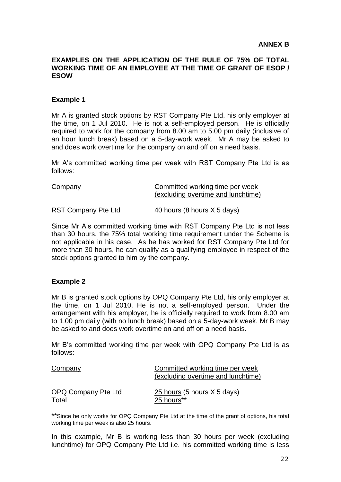## <span id="page-25-0"></span>**EXAMPLES ON THE APPLICATION OF THE RULE OF 75% OF TOTAL WORKING TIME OF AN EMPLOYEE AT THE TIME OF GRANT OF ESOP / ESOW**

## **Example 1**

Mr A is granted stock options by RST Company Pte Ltd, his only employer at the time, on 1 Jul 2010. He is not a self-employed person. He is officially required to work for the company from 8.00 am to 5.00 pm daily (inclusive of an hour lunch break) based on a 5-day-work week. Mr A may be asked to and does work overtime for the company on and off on a need basis.

Mr A's committed working time per week with RST Company Pte Ltd is as follows:

| Company                    | Committed working time per week<br>(excluding overtime and lunchtime) |
|----------------------------|-----------------------------------------------------------------------|
| <b>RST Company Pte Ltd</b> | 40 hours (8 hours X 5 days)                                           |

Since Mr A's committed working time with RST Company Pte Ltd is not less than 30 hours, the 75% total working time requirement under the Scheme is not applicable in his case. As he has worked for RST Company Pte Ltd for more than 30 hours, he can qualify as a qualifying employee in respect of the stock options granted to him by the company.

## **Example 2**

Mr B is granted stock options by OPQ Company Pte Ltd, his only employer at the time, on 1 Jul 2010. He is not a self-employed person. Under the arrangement with his employer, he is officially required to work from 8.00 am to 1.00 pm daily (with no lunch break) based on a 5-day-work week. Mr B may be asked to and does work overtime on and off on a need basis.

Mr B's committed working time per week with OPQ Company Pte Ltd is as follows:

| Company             | Committed working time per week    |
|---------------------|------------------------------------|
|                     | (excluding overtime and lunchtime) |
|                     |                                    |
| OPQ Company Pte Ltd | $25$ hours (5 hours X 5 days)      |
| Total               | 25 hours**                         |

\*\*Since he only works for OPQ Company Pte Ltd at the time of the grant of options, his total working time per week is also 25 hours.

In this example, Mr B is working less than 30 hours per week (excluding lunchtime) for OPQ Company Pte Ltd i.e. his committed working time is less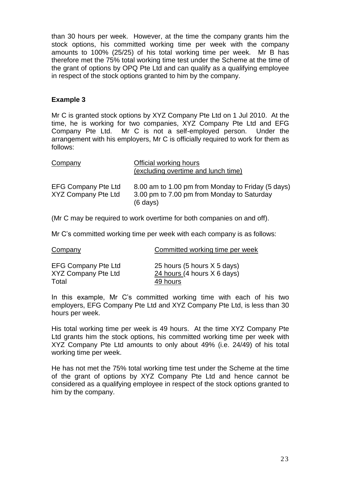than 30 hours per week. However, at the time the company grants him the stock options, his committed working time per week with the company amounts to 100% (25/25) of his total working time per week. Mr B has therefore met the 75% total working time test under the Scheme at the time of the grant of options by OPQ Pte Ltd and can qualify as a qualifying employee in respect of the stock options granted to him by the company.

## **Example 3**

Mr C is granted stock options by XYZ Company Pte Ltd on 1 Jul 2010. At the time, he is working for two companies, XYZ Company Pte Ltd and EFG Company Pte Ltd. Mr C is not a self-employed person. Under the arrangement with his employers, Mr C is officially required to work for them as follows:

| Company                                                  | Official working hours<br>(excluding overtime and lunch time)                                                         |
|----------------------------------------------------------|-----------------------------------------------------------------------------------------------------------------------|
| <b>EFG Company Pte Ltd</b><br><b>XYZ Company Pte Ltd</b> | 8.00 am to 1.00 pm from Monday to Friday (5 days)<br>3.00 pm to 7.00 pm from Monday to Saturday<br>$(6 \text{ days})$ |

(Mr C may be required to work overtime for both companies on and off).

Mr C's committed working time per week with each company is as follows:

| Company                    | Committed working time per week |
|----------------------------|---------------------------------|
| <b>EFG Company Pte Ltd</b> | 25 hours (5 hours X 5 days)     |
| <b>XYZ Company Pte Ltd</b> | 24 hours (4 hours X 6 days)     |
| Total                      | 49 hours                        |

In this example, Mr C's committed working time with each of his two employers, EFG Company Pte Ltd and XYZ Company Pte Ltd, is less than 30 hours per week.

His total working time per week is 49 hours. At the time XYZ Company Pte Ltd grants him the stock options, his committed working time per week with XYZ Company Pte Ltd amounts to only about 49% (i.e. 24/49) of his total working time per week.

He has not met the 75% total working time test under the Scheme at the time of the grant of options by XYZ Company Pte Ltd and hence cannot be considered as a qualifying employee in respect of the stock options granted to him by the company.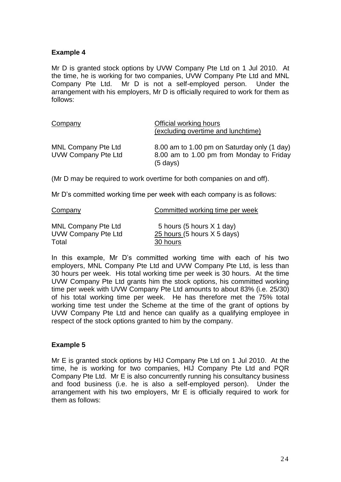## **Example 4**

Mr D is granted stock options by UVW Company Pte Ltd on 1 Jul 2010. At the time, he is working for two companies, UVW Company Pte Ltd and MNL Company Pte Ltd. Mr D is not a self-employed person. Under the arrangement with his employers, Mr D is officially required to work for them as follows:

| Company                                                  | Official working hours<br>(excluding overtime and lunchtime)                                                  |
|----------------------------------------------------------|---------------------------------------------------------------------------------------------------------------|
| <b>MNL Company Pte Ltd</b><br><b>UVW Company Pte Ltd</b> | 8.00 am to 1.00 pm on Saturday only (1 day)<br>8.00 am to 1.00 pm from Monday to Friday<br>$(5 \text{ days})$ |

(Mr D may be required to work overtime for both companies on and off).

Mr D's committed working time per week with each company is as follows:

| Company                    | Committed working time per week |
|----------------------------|---------------------------------|
| <b>MNL Company Pte Ltd</b> | 5 hours (5 hours $X$ 1 day)     |
| <b>UVW Company Pte Ltd</b> | $25$ hours (5 hours $X$ 5 days) |
| Total                      | 30 hours                        |

In this example, Mr D's committed working time with each of his two employers, MNL Company Pte Ltd and UVW Company Pte Ltd, is less than 30 hours per week. His total working time per week is 30 hours. At the time UVW Company Pte Ltd grants him the stock options, his committed working time per week with UVW Company Pte Ltd amounts to about 83% (i.e. 25/30) of his total working time per week. He has therefore met the 75% total working time test under the Scheme at the time of the grant of options by UVW Company Pte Ltd and hence can qualify as a qualifying employee in respect of the stock options granted to him by the company.

## **Example 5**

Mr E is granted stock options by HIJ Company Pte Ltd on 1 Jul 2010. At the time, he is working for two companies, HIJ Company Pte Ltd and PQR Company Pte Ltd. Mr E is also concurrently running his consultancy business and food business (i.e. he is also a self-employed person). Under the arrangement with his two employers, Mr E is officially required to work for them as follows: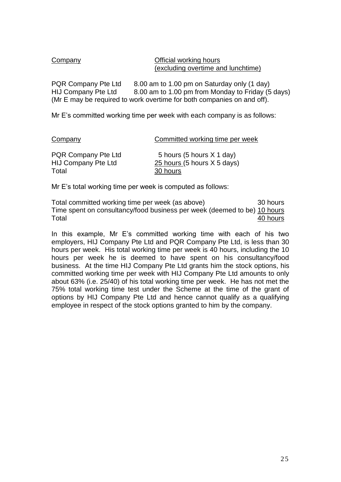Company Company Company Company Company Company Company Company Company Company Company Company Company Company Company Company Company Company Company Company Company Company Company Company Company Company Company Compan (excluding overtime and lunchtime)

PQR Company Pte Ltd 8.00 am to 1.00 pm on Saturday only (1 day) HIJ Company Pte Ltd 8.00 am to 1.00 pm from Monday to Friday (5 days) (Mr E may be required to work overtime for both companies on and off).

Mr E's committed working time per week with each company is as follows:

| Company | Committed working time per week |
|---------|---------------------------------|
|         |                                 |
| PAP     | FI. (FI. X/4 I. V               |

| PQR Company Pte Ltd        | 5 hours (5 hours X 1 day)   |
|----------------------------|-----------------------------|
| <b>HIJ Company Pte Ltd</b> | 25 hours (5 hours X 5 days) |
| Total                      | 30 hours                    |

Mr E's total working time per week is computed as follows:

Total committed working time per week (as above) 30 hours Time spent on consultancy/food business per week (deemed to be) 10 hours Total 40 hours

In this example, Mr E's committed working time with each of his two employers, HIJ Company Pte Ltd and PQR Company Pte Ltd, is less than 30 hours per week. His total working time per week is 40 hours, including the 10 hours per week he is deemed to have spent on his consultancy/food business. At the time HIJ Company Pte Ltd grants him the stock options, his committed working time per week with HIJ Company Pte Ltd amounts to only about 63% (i.e. 25/40) of his total working time per week. He has not met the 75% total working time test under the Scheme at the time of the grant of options by HIJ Company Pte Ltd and hence cannot qualify as a qualifying employee in respect of the stock options granted to him by the company.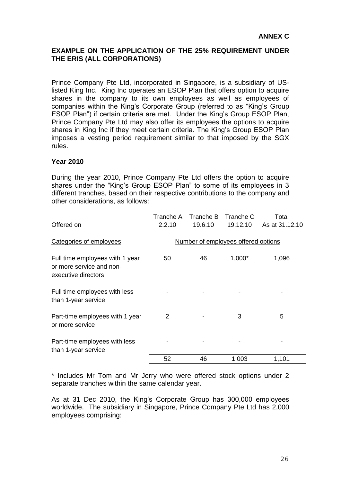## <span id="page-29-0"></span>**EXAMPLE ON THE APPLICATION OF THE 25% REQUIREMENT UNDER THE ERIS (ALL CORPORATIONS)**

Prince Company Pte Ltd, incorporated in Singapore, is a subsidiary of USlisted King Inc. King Inc operates an ESOP Plan that offers option to acquire shares in the company to its own employees as well as employees of companies within the King's Corporate Group (referred to as "King's Group ESOP Plan") if certain criteria are met. Under the King's Group ESOP Plan, Prince Company Pte Ltd may also offer its employees the options to acquire shares in King Inc if they meet certain criteria. The King's Group ESOP Plan imposes a vesting period requirement similar to that imposed by the SGX rules.

## **Year 2010**

During the year 2010, Prince Company Pte Ltd offers the option to acquire shares under the "King's Group ESOP Plan" to some of its employees in 3 different tranches, based on their respective contributions to the company and other considerations, as follows:

| Offered on                                                                         | Tranche A<br>2.2.10 | Tranche B<br>19.6.10 | Tranche C<br>19.12.10               | Total<br>As at 31.12.10 |
|------------------------------------------------------------------------------------|---------------------|----------------------|-------------------------------------|-------------------------|
|                                                                                    |                     |                      |                                     |                         |
| Categories of employees                                                            |                     |                      | Number of employees offered options |                         |
| Full time employees with 1 year<br>or more service and non-<br>executive directors | 50                  | 46                   | $1,000*$                            | 1,096                   |
| Full time employees with less<br>than 1-year service                               |                     |                      |                                     |                         |
| Part-time employees with 1 year<br>or more service                                 | 2                   |                      | 3                                   | 5                       |
| Part-time employees with less<br>than 1-year service                               |                     |                      |                                     |                         |
|                                                                                    | 52                  | 46                   | 1,003                               | 1,101                   |

\* Includes Mr Tom and Mr Jerry who were offered stock options under 2 separate tranches within the same calendar year.

As at 31 Dec 2010, the King's Corporate Group has 300,000 employees worldwide. The subsidiary in Singapore, Prince Company Pte Ltd has 2,000 employees comprising: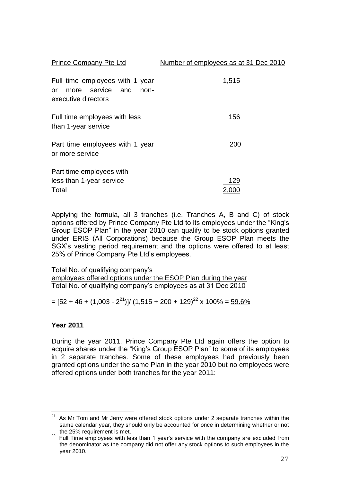| <b>Prince Company Pte Ltd</b>                                                            | Number of employees as at 31 Dec 2010 |
|------------------------------------------------------------------------------------------|---------------------------------------|
| Full time employees with 1 year<br>more service and<br>non-<br>or<br>executive directors | 1,515                                 |
| Full time employees with less<br>than 1-year service                                     | 156                                   |
| Part time employees with 1 year<br>or more service                                       | 200                                   |
| Part time employees with<br>less than 1-year service<br>Total                            | 129<br>2.000                          |

Applying the formula, all 3 tranches (i.e. Tranches A, B and C) of stock options offered by Prince Company Pte Ltd to its employees under the "King's Group ESOP Plan" in the year 2010 can qualify to be stock options granted under ERIS (All Corporations) because the Group ESOP Plan meets the SGX's vesting period requirement and the options were offered to at least 25% of Prince Company Pte Ltd's employees.

Total No. of qualifying company's employees offered options under the ESOP Plan during the year Total No. of qualifying company's employees as at 31 Dec 2010

= [52 + 46 + (1,003 - 2 $^{21})$ ]/ (1,515 + 200 + 129) $^{22}$  x 100% = <u>59.6%</u>

## **Year 2011**

During the year 2011, Prince Company Pte Ltd again offers the option to acquire shares under the "King's Group ESOP Plan" to some of its employees in 2 separate tranches. Some of these employees had previously been granted options under the same Plan in the year 2010 but no employees were offered options under both tranches for the year 2011:

<sup>&</sup>lt;u>.</u>  $21$  As Mr Tom and Mr Jerry were offered stock options under 2 separate tranches within the same calendar year, they should only be accounted for once in determining whether or not the 25% requirement is met.

<sup>&</sup>lt;sup>22</sup> Full Time employees with less than 1 year's service with the company are excluded from the denominator as the company did not offer any stock options to such employees in the year 2010.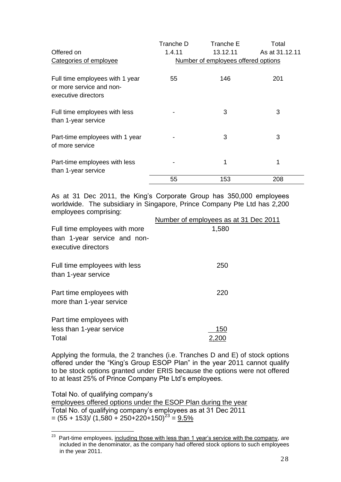|                                                                                    | Tranche D                           | Tranche E | Total          |  |  |  |  |  |
|------------------------------------------------------------------------------------|-------------------------------------|-----------|----------------|--|--|--|--|--|
| Offered on                                                                         | 1.4.11                              | 13.12.11  | As at 31.12.11 |  |  |  |  |  |
| Categories of employee                                                             | Number of employees offered options |           |                |  |  |  |  |  |
| Full time employees with 1 year<br>or more service and non-<br>executive directors | 55                                  | 146       | 201            |  |  |  |  |  |
| Full time employees with less<br>than 1-year service                               |                                     | 3         | 3              |  |  |  |  |  |
| Part-time employees with 1 year<br>of more service                                 |                                     | 3         | 3              |  |  |  |  |  |
| Part-time employees with less<br>than 1-year service                               |                                     | 1         | 1              |  |  |  |  |  |
|                                                                                    | 55                                  | 153       | 208            |  |  |  |  |  |

As at 31 Dec 2011, the King's Corporate Group has 350,000 employees worldwide. The subsidiary in Singapore, Prince Company Pte Ltd has 2,200 employees comprising:

|                                                      | Number of employees as at 31 Dec 2011 |
|------------------------------------------------------|---------------------------------------|
| Full time employees with more                        | 1,580                                 |
| than 1-year service and non-<br>executive directors  |                                       |
| Full time employees with less<br>than 1-year service | 250                                   |
| Part time employees with<br>more than 1-year service | 220                                   |
| Part time employees with                             |                                       |
| less than 1-year service                             | 150                                   |
| Total                                                | 2,200                                 |

Applying the formula, the 2 tranches (i.e. Tranches D and E) of stock options offered under the "King's Group ESOP Plan" in the year 2011 cannot qualify to be stock options granted under ERIS because the options were not offered to at least 25% of Prince Company Pte Ltd's employees.

Total No. of qualifying company's employees offered options under the ESOP Plan during the year Total No. of qualifying company's employees as at 31 Dec 2011  $= (55 + 153)/(1,580 + 250 + 220 + 150)^{23} = 9.5\%$ 

 $23\,$ Part-time employees, including those with less than 1 year's service with the company, are included in the denominator, as the company had offered stock options to such employees in the year 2011.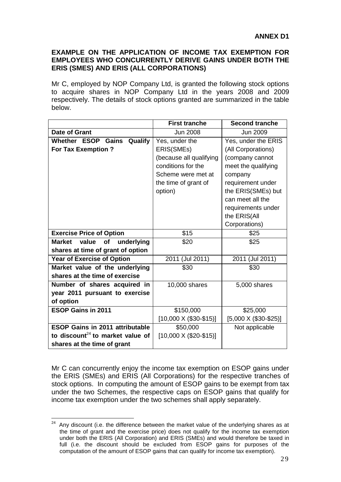## <span id="page-32-0"></span>**EXAMPLE ON THE APPLICATION OF INCOME TAX EXEMPTION FOR EMPLOYEES WHO CONCURRENTLY DERIVE GAINS UNDER BOTH THE ERIS (SMES) AND ERIS (ALL CORPORATIONS)**

Mr C, employed by NOP Company Ltd, is granted the following stock options to acquire shares in NOP Company Ltd in the years 2008 and 2009 respectively. The details of stock options granted are summarized in the table below.

|                                              | <b>First tranche</b>            | <b>Second tranche</b>        |
|----------------------------------------------|---------------------------------|------------------------------|
| <b>Date of Grant</b>                         | <b>Jun 2008</b>                 | <b>Jun 2009</b>              |
| Whether ESOP Gains Qualify                   | Yes, under the                  | Yes, under the ERIS          |
| For Tax Exemption ?                          | ERIS(SMEs)                      | (All Corporations)           |
|                                              | (because all qualifying         | (company cannot              |
|                                              | conditions for the              | meet the qualifying          |
|                                              | Scheme were met at              | company                      |
|                                              | the time of grant of            | requirement under            |
|                                              | option)                         | the ERIS(SMEs) but           |
|                                              |                                 | can meet all the             |
|                                              |                                 | requirements under           |
|                                              |                                 | the ERIS(All                 |
|                                              |                                 | Corporations)                |
| <b>Exercise Price of Option</b>              | \$15                            | \$25                         |
| value of<br>underlying<br><b>Market</b>      | \$20                            | \$25                         |
| shares at time of grant of option            |                                 |                              |
| <b>Year of Exercise of Option</b>            | 2011 (Jul 2011)                 | 2011 (Jul 2011)              |
| Market value of the underlying               | \$30                            | \$30                         |
| shares at the time of exercise               |                                 |                              |
| Number of shares acquired in                 | 10,000 shares                   | 5,000 shares                 |
| year 2011 pursuant to exercise               |                                 |                              |
| of option                                    |                                 |                              |
| <b>ESOP Gains in 2011</b>                    | \$150,000                       | \$25,000                     |
|                                              | $[10,000 \times (\$30 - \$15)]$ | $[5,000 \times (\$30-\$25)]$ |
| <b>ESOP Gains in 2011 attributable</b>       | \$50,000                        | Not applicable               |
| to discount <sup>24</sup> to market value of | $[10,000 \times (\$20-\$15)]$   |                              |
| shares at the time of grant                  |                                 |                              |

Mr C can concurrently enjoy the income tax exemption on ESOP gains under the ERIS (SMEs) and ERIS (All Corporations) for the respective tranches of stock options. In computing the amount of ESOP gains to be exempt from tax under the two Schemes, the respective caps on ESOP gains that qualify for income tax exemption under the two schemes shall apply separately.

 $24$  Any discount (i.e. the difference between the market value of the underlying shares as at the time of grant and the exercise price) does not qualify for the income tax exemption under both the ERIS (All Corporation) and ERIS (SMEs) and would therefore be taxed in full (i.e. the discount should be excluded from ESOP gains for purposes of the computation of the amount of ESOP gains that can qualify for income tax exemption).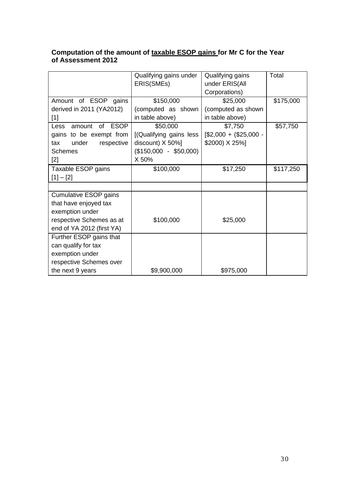## **Computation of the amount of taxable ESOP gains for Mr C for the Year of Assessment 2012**

|                                            | Qualifying gains under  | Qualifying gains     | Total     |
|--------------------------------------------|-------------------------|----------------------|-----------|
|                                            | ERIS(SMEs)              | under ERIS(All       |           |
|                                            |                         | Corporations)        |           |
| Amount of ESOP gains                       | \$150,000               | \$25,000             | \$175,000 |
| derived in 2011 (YA2012)                   | (computed as shown      | (computed as shown   |           |
| $[1]$                                      | in table above)         | in table above)      |           |
| <b>ESOP</b><br><b>of</b><br>Less<br>amount | \$50,000                | \$7,750              | \$57,750  |
| gains to be exempt from                    | [(Qualifying gains less | $$2,000 + $25,000 -$ |           |
| under<br>respective<br>tax                 | discount) X 50%]        | \$2000) X 25%]       |           |
| <b>Schemes</b>                             | $($150,000 - $50,000)$  |                      |           |
| $[2]$                                      | X 50%                   |                      |           |
| Taxable ESOP gains                         | \$100,000               | \$17,250             | \$117,250 |
| $[1] - [2]$                                |                         |                      |           |
|                                            |                         |                      |           |
| <b>Cumulative ESOP gains</b>               |                         |                      |           |
| that have enjoyed tax                      |                         |                      |           |
| exemption under                            |                         |                      |           |
| respective Schemes as at                   | \$100,000               | \$25,000             |           |
| end of YA 2012 (first YA)                  |                         |                      |           |
| Further ESOP gains that                    |                         |                      |           |
| can qualify for tax                        |                         |                      |           |
| exemption under                            |                         |                      |           |
| respective Schemes over                    |                         |                      |           |
| the next 9 years                           | \$9,900,000             | \$975,000            |           |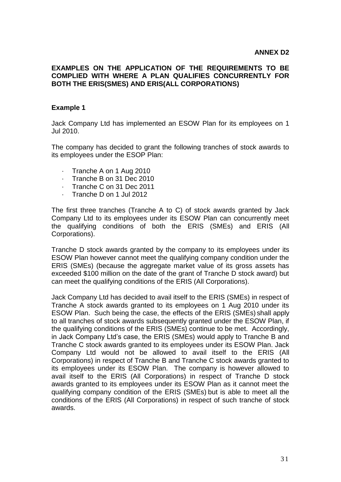## <span id="page-34-0"></span>**EXAMPLES ON THE APPLICATION OF THE REQUIREMENTS TO BE COMPLIED WITH WHERE A PLAN QUALIFIES CONCURRENTLY FOR BOTH THE ERIS(SMES) AND ERIS(ALL CORPORATIONS)**

## **Example 1**

Jack Company Ltd has implemented an ESOW Plan for its employees on 1 Jul 2010.

The company has decided to grant the following tranches of stock awards to its employees under the ESOP Plan:

- · Tranche A on 1 Aug 2010
- · Tranche B on 31 Dec 2010
- · Tranche C on 31 Dec 2011
- · Tranche D on 1 Jul 2012

The first three tranches (Tranche A to C) of stock awards granted by Jack Company Ltd to its employees under its ESOW Plan can concurrently meet the qualifying conditions of both the ERIS (SMEs) and ERIS (All Corporations).

Tranche D stock awards granted by the company to its employees under its ESOW Plan however cannot meet the qualifying company condition under the ERIS (SMEs) (because the aggregate market value of its gross assets has exceeded \$100 million on the date of the grant of Tranche D stock award) but can meet the qualifying conditions of the ERIS (All Corporations).

Jack Company Ltd has decided to avail itself to the ERIS (SMEs) in respect of Tranche A stock awards granted to its employees on 1 Aug 2010 under its ESOW Plan. Such being the case, the effects of the ERIS (SMEs) shall apply to all tranches of stock awards subsequently granted under the ESOW Plan, if the qualifying conditions of the ERIS (SMEs) continue to be met. Accordingly, in Jack Company Ltd's case, the ERIS (SMEs) would apply to Tranche B and Tranche C stock awards granted to its employees under its ESOW Plan. Jack Company Ltd would not be allowed to avail itself to the ERIS (All Corporations) in respect of Tranche B and Tranche C stock awards granted to its employees under its ESOW Plan. The company is however allowed to avail itself to the ERIS (All Corporations) in respect of Tranche D stock awards granted to its employees under its ESOW Plan as it cannot meet the qualifying company condition of the ERIS (SMEs) but is able to meet all the conditions of the ERIS (All Corporations) in respect of such tranche of stock awards.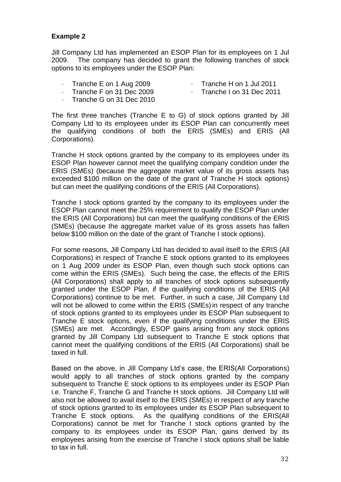## **Example 2**

Jill Company Ltd has implemented an ESOP Plan for its employees on 1 Jul 2009. The company has decided to grant the following tranches of stock options to its employees under the ESOP Plan:

- · Tranche E on 1 Aug 2009
- · Tranche H on 1 Jul 2011
- · Tranche F on 31 Dec 2009
- · Tranche I on 31 Dec 2011
- · Tranche G on 31 Dec 2010

The first three tranches (Tranche E to G) of stock options granted by Jill Company Ltd to its employees under its ESOP Plan can concurrently meet the qualifying conditions of both the ERIS (SMEs) and ERIS (All Corporations).

Tranche H stock options granted by the company to its employees under its ESOP Plan however cannot meet the qualifying company condition under the ERIS (SMEs) (because the aggregate market value of its gross assets has exceeded \$100 million on the date of the grant of Tranche H stock options) but can meet the qualifying conditions of the ERIS (All Corporations).

Tranche I stock options granted by the company to its employees under the ESOP Plan cannot meet the 25% requirement to qualify the ESOP Plan under the ERIS (All Corporations) but can meet the qualifying conditions of the ERIS (SMEs) (because the aggregate market value of its gross assets has fallen below \$100 million on the date of the grant of Tranche I stock options).

For some reasons, Jill Company Ltd has decided to avail itself to the ERIS (All Corporations) in respect of Tranche E stock options granted to its employees on 1 Aug 2009 under its ESOP Plan, even though such stock options can come within the ERIS (SMEs). Such being the case, the effects of the ERIS (All Corporations) shall apply to all tranches of stock options subsequently granted under the ESOP Plan, if the qualifying conditions of the ERIS (All Corporations) continue to be met. Further, in such a case, Jill Company Ltd will not be allowed to come within the ERIS (SMEs) in respect of any tranche of stock options granted to its employees under its ESOP Plan subsequent to Tranche E stock options, even if the qualifying conditions under the ERIS (SMEs) are met. Accordingly, ESOP gains arising from any stock options granted by Jill Company Ltd subsequent to Tranche E stock options that cannot meet the qualifying conditions of the ERIS (All Corporations) shall be taxed in full.

Based on the above, in Jill Company Ltd's case, the ERIS(All Corporations) would apply to all tranches of stock options granted by the company subsequent to Tranche E stock options to its employees under its ESOP Plan i.e. Tranche F, Tranche G and Tranche H stock options. Jill Company Ltd will also not be allowed to avail itself to the ERIS (SMEs) in respect of any tranche of stock options granted to its employees under its ESOP Plan subsequent to Tranche E stock options. As the qualifying conditions of the ERIS(All Corporations) cannot be met for Tranche I stock options granted by the company to its employees under its ESOP Plan, gains derived by its employees arising from the exercise of Tranche I stock options shall be liable to tax in full.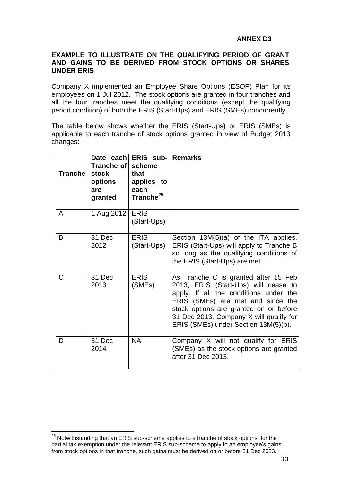## **ANNEX D3**

## <span id="page-36-0"></span>**EXAMPLE TO ILLUSTRATE ON THE QUALIFYING PERIOD OF GRANT AND GAINS TO BE DERIVED FROM STOCK OPTIONS OR SHARES UNDER ERIS**

Company X implemented an Employee Share Options (ESOP) Plan for its employees on 1 Jul 2012. The stock options are granted in four tranches and all the four tranches meet the qualifying conditions (except the qualifying period condition) of both the ERIS (Start-Ups) and ERIS (SMEs) concurrently.

The table below shows whether the ERIS (Start-Ups) or ERIS (SMEs) is applicable to each tranche of stock options granted in view of Budget 2013 changes:

| <b>Tranche</b> | Tranche of l<br><b>stock</b><br>options<br>are<br>granted | Date each ERIS sub- Remarks<br>scheme<br>that<br>applies to<br>each<br>Tranche <sup>25</sup> |                                                                                                                                                                                                                                                                                          |
|----------------|-----------------------------------------------------------|----------------------------------------------------------------------------------------------|------------------------------------------------------------------------------------------------------------------------------------------------------------------------------------------------------------------------------------------------------------------------------------------|
| A              | 1 Aug 2012                                                | <b>ERIS</b><br>(Start-Ups)                                                                   |                                                                                                                                                                                                                                                                                          |
| B              | 31 Dec<br>2012                                            | <b>ERIS</b><br>(Start-Ups)                                                                   | Section $13M(5)(a)$ of the ITA applies.<br>ERIS (Start-Ups) will apply to Tranche B<br>so long as the qualifying conditions of<br>the ERIS (Start-Ups) are met.                                                                                                                          |
| C              | 31 Dec<br>2013                                            | <b>ERIS</b><br>(SMEs)                                                                        | As Tranche C is granted after 15 Feb<br>2013, ERIS (Start-Ups) will cease to<br>apply. If all the conditions under the<br>ERIS (SMEs) are met and since the<br>stock options are granted on or before<br>31 Dec 2013, Company X will qualify for<br>ERIS (SMEs) under Section 13M(5)(b). |
| D              | 31 Dec<br>2014                                            | <b>NA</b>                                                                                    | Company X will not qualify for ERIS<br>(SMEs) as the stock options are granted<br>after 31 Dec 2013.                                                                                                                                                                                     |

 $25$  Notwithstanding that an ERIS sub-scheme applies to a tranche of stock options, for the partial tax exemption under the relevant ERIS sub-scheme to apply to an employee's gains from stock options in that tranche, such gains must be derived on or before 31 Dec 2023.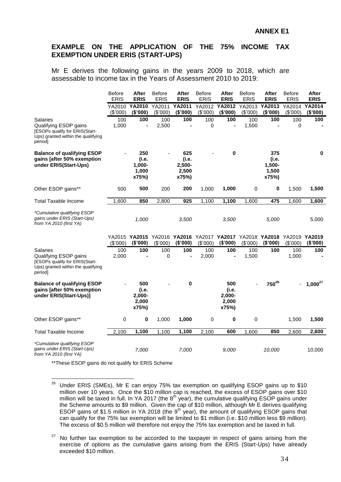## <span id="page-37-0"></span>**EXAMPLE ON THE APPLICATION OF THE 75% INCOME TAX EXEMPTION UNDER ERIS (START-UPS)**

Mr E derives the following gains in the years 2009 to 2018, which are assessable to income tax in the Years of Assessment 2010 to 2019:

|                                                                                                                             | <b>Before</b>     | After                                       | <b>Before</b>      | <b>After</b>                             | <b>Before</b>      | <b>After</b>                                                                      | <b>Before</b>      | After                                    | <b>Before</b>      | <b>After</b>       |
|-----------------------------------------------------------------------------------------------------------------------------|-------------------|---------------------------------------------|--------------------|------------------------------------------|--------------------|-----------------------------------------------------------------------------------|--------------------|------------------------------------------|--------------------|--------------------|
|                                                                                                                             | <b>ERIS</b>       | <b>ERIS</b>                                 | <b>ERIS</b>        | <b>ERIS</b>                              | <b>ERIS</b>        | <b>ERIS</b>                                                                       | <b>ERIS</b>        | <b>ERIS</b>                              | <b>ERIS</b>        | <b>ERIS</b>        |
|                                                                                                                             | YA2010<br>(\$000) | <b>YA2010</b><br>(\$'000)                   | YA2011<br>(\$'000) | <b>YA2011</b><br>(\$'000)                | YA2012<br>(\$'000) | <b>YA2012</b><br>(\$'000)                                                         | YA2013<br>(\$'000) | YA2013<br>(\$'000)                       | YA2014<br>(\$'000) | YA2014<br>(\$'000) |
| Salaries<br>Qualifying ESOP gains<br>[ESOPs qualify for ERIS(Start-<br>Ups) granted within the qualifying<br>period]        | 100<br>1,000      | 100<br>$\overline{a}$                       | 100<br>2,500       | 100                                      | 100<br>0           | 100                                                                               | 100<br>1,500       | 100                                      | 100<br>0           | 100                |
| <b>Balance of qualifying ESOP</b><br>gains [after 50% exemption<br>under ERIS(Start-Ups)                                    |                   | 250<br>(i.e.<br>$1,000 -$<br>1,000<br>x75%) |                    | 625<br>(i.e.<br>2,500-<br>2,500<br>x75%) |                    | $\bf{0}$                                                                          |                    | 375<br>(i.e.<br>1,500-<br>1,500<br>x75%) |                    | $\bf{0}$           |
| Other ESOP gains**                                                                                                          | 500               | 500                                         | 200                | 200                                      | 1,000              | 1,000                                                                             | $\mathbf 0$        | 0                                        | 1,500              | 1,500              |
| Total Taxable Income                                                                                                        | 1,600             | 850                                         | 2,800              | 925                                      | 1,100              | 1,100                                                                             | 1,600              | 475                                      | 1,600              | 1,600              |
| *Cumulative qualifying ESOP<br>gains under ERIS (Start-Ups)<br>from YA 2010 (first YA)                                      |                   | 1,000                                       |                    | 3,500                                    |                    | 3,500                                                                             |                    | 5,000                                    |                    | 5,000              |
|                                                                                                                             | (\$'000)          | (\$'000)                                    | (\$'000)           | (\$'000)                                 | (\$'000)           | YA2015 YA2015 YA2016 YA2016 YA2017 YA2017 YA2018 YA2018 YA2019 YA2019<br>(\$'000) | (\$'000)           | (\$'000)                                 | (\$'000)           | (\$'000)           |
| <b>Salaries</b><br>Qualifying ESOP gains<br>[ESOPs qualify for ERIS(Start-<br>Ups) granted within the qualifying<br>period] | 100<br>2,000      | 100<br>$\blacksquare$                       | 100<br>0           | 100<br>$\blacksquare$                    | 100<br>2,000       | 100<br>L,                                                                         | 100<br>1,500       | 100                                      | 100<br>1,000       | 100                |
| <b>Balance of qualifying ESOP</b><br>gains [after 50% exemption<br>under ERIS(Start-Ups)]                                   |                   | 500<br>(i.e.<br>$2,000 -$<br>2,000<br>x75%) |                    | 0                                        |                    | 500<br>(i.e.<br>2,000-<br>2,000<br>x75%)                                          |                    | $750^{26}$                               |                    | $1,000^{27}$       |
| Other ESOP gains**                                                                                                          | 0                 | 0                                           | 1,000              | 1,000                                    | 0                  | 0                                                                                 | 0                  |                                          | 1,500              | 1,500              |
| Total Taxable Income                                                                                                        | 2,100             | 1,100                                       | 1,100              | 1,100                                    | 2,100              | 600                                                                               | 1,600              | 850                                      | 2,600              | 2,600              |
| *Cumulative qualifying ESOP<br>gains under ERIS (Start-Ups)<br>from YA 2010 (first YA)                                      |                   | 7,000                                       |                    | 7,000                                    |                    | 9,000                                                                             |                    | 10,000                                   |                    | 10,000             |

\*\*These ESOP gains do not qualify for ERIS Scheme

 $26$  Under ERIS (SMEs), Mr E can enjoy 75% tax exemption on qualifying ESOP gains up to \$10 million over 10 years. Once the \$10 million cap is reached, the excess of ESOP gains over \$10 million will be taxed in full. In YA 2017 (the  $8<sup>th</sup>$  year), the cumulative qualifying ESOP gains under the Scheme amounts to \$9 million. Given the cap of \$10 million, although Mr E derives qualifying ESOP gains of \$1.5 million in YA 2018 (the  $9<sup>th</sup>$  year), the amount of qualifying ESOP gains that can qualify for the 75% tax exemption will be limited to \$1 million (i.e. \$10 million less \$9 million). The excess of \$0.5 million will therefore not enjoy the 75% tax exemption and be taxed in full.

 $27$  No further tax exemption to be accorded to the taxpayer in respect of gains arising from the exercise of options as the cumulative gains arising from the ERIS (Start-Ups) have already exceeded \$10 million.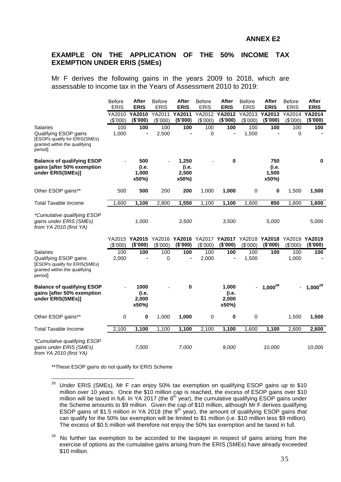## <span id="page-38-0"></span>**EXAMPLE ON THE APPLICATION OF THE 50% INCOME TAX EXEMPTION UNDER ERIS (SMEs)**

Mr F derives the following gains in the years 2009 to 2018, which are assessable to income tax in the Years of Assessment 2010 to 2019:

|                                                                                                                       | Before<br><b>ERIS</b> | <b>After</b><br><b>ERIS</b>                           | <b>Before</b><br><b>ERIS</b> | <b>After</b><br><b>ERIS</b>      | Before<br><b>ERIS</b> | After<br><b>ERIS</b>             | <b>Before</b><br><b>ERIS</b> | After<br><b>ERIS</b>           | <b>Before</b><br><b>ERIS</b> | After<br><b>ERIS</b> |
|-----------------------------------------------------------------------------------------------------------------------|-----------------------|-------------------------------------------------------|------------------------------|----------------------------------|-----------------------|----------------------------------|------------------------------|--------------------------------|------------------------------|----------------------|
|                                                                                                                       | YA2010<br>(\$'000)    | YA2010<br>(\$'000)                                    | YA2011<br>(\$'000)           | <b>YA2011</b><br>(\$'000)        | YA2012<br>(\$'000)    | YA2012<br>(\$'000)               | YA2013<br>(\$'000)           | YA2013<br>(\$'000)             | YA2014<br>(\$'000)           | YA2014<br>(\$'000)   |
| Salaries<br>Qualifying ESOP gains<br>[ESOPs qualify for ERIS(SMEs)<br>granted within the qualifying<br>period]        | 100<br>1,000          | 100                                                   | 100<br>2,500                 | 100                              | 100<br>0              | 100                              | 100<br>1,500                 | 100                            | 100<br>0                     | 100                  |
| <b>Balance of qualifying ESOP</b><br>gains [after 50% exemption<br>under ERIS(SMEs)]                                  |                       | 500<br>(i.e.<br>1,000<br>x50%)                        |                              | 1,250<br>(i.e.<br>2,500<br>x50%) |                       | 0                                |                              | 750<br>(i.e.<br>1,500<br>x50%) |                              | 0                    |
| Other ESOP gains**                                                                                                    | 500                   | 500                                                   | 200                          | 200                              | 1,000                 | 1,000                            | 0                            | 0                              | 1,500                        | 1,500                |
| <b>Total Taxable Income</b>                                                                                           | 1,600                 | 1,100                                                 | 2,800                        | 1,550                            | 1,100                 | 1,100                            | 1.600                        | 850                            | 1.600                        | 1,600                |
| *Cumulative qualifying ESOP<br>gains under ERIS (SMEs)<br>from YA 2010 (first YA)                                     |                       | 1,000                                                 |                              | 3,500                            |                       | 3,500                            |                              | 5,000                          |                              | 5,000                |
|                                                                                                                       | (\$'000)              | YA2015 YA2015 YA2016 YA2016 YA2017 YA2017<br>(\$'000) | (\$'000)                     | (\$'000)                         | (\$'000)              | (\$'000)                         | (\$'000)                     | YA2018 YA2018<br>(\$'000)      | YA2019<br>(\$'000)           | YA2019<br>(\$'000)   |
| <b>Salaries</b><br>Qualifying ESOP gains<br>[ESOPs qualify for ERIS(SMEs)<br>granted within the qualifying<br>period] | 100<br>2,000          | 100                                                   | 100<br>$\mathbf 0$           | 100<br>$\blacksquare$            | 100<br>2,000          | 100<br>$\blacksquare$            | 100<br>1,500                 | 100                            | 100<br>1,000                 | 100                  |
| <b>Balance of qualifying ESOP</b><br>gains [after 50% exemption<br>under ERIS(SMEs)]                                  |                       | 1000<br>(i.e.<br>2,000<br>x50%)                       |                              | 0                                |                       | 1,000<br>(i.e.<br>2,000<br>x50%) |                              | $1,000^{28}$                   |                              | $1,000^{29}$         |
| Other ESOP gains**                                                                                                    | 0                     | 0                                                     | 1,000                        | 1,000                            | $\pmb{0}$             | 0                                | 0                            |                                | 1,500                        | 1,500                |
| <b>Total Taxable Income</b>                                                                                           | 2,100                 | 1,100                                                 | 1,100                        | 1,100                            | 2,100                 | 1,100                            | 1,600                        | 1,100                          | 2,600                        | 2,600                |
| *Cumulative qualifying ESOP<br>gains under ERIS (SMEs)<br>from YA 2010 (first YA)                                     |                       | 7,000                                                 |                              | 7,000                            |                       | 9,000                            |                              | 10,000                         |                              | 10,000               |

\*\*These ESOP gains do not qualify for ERIS Scheme

<sup>&</sup>lt;sup>28</sup> Under ERIS (SMEs), Mr F can enjoy 50% tax exemption on qualifying ESOP gains up to \$10 million over 10 years. Once the \$10 million cap is reached, the excess of ESOP gains over \$10 million will be taxed in full. In YA 2017 (the  $8<sup>th</sup>$  year), the cumulative qualifying ESOP gains under the Scheme amounts to \$9 million. Given the cap of \$10 million, although Mr F derives qualifying ESOP gains of \$1.5 million in YA 2018 (the  $9<sup>th</sup>$  year), the amount of qualifying ESOP gains that can qualify for the 50% tax exemption will be limited to \$1 million (i.e. \$10 million less \$9 million). The excess of \$0.5 million will therefore not enjoy the 50% tax exemption and be taxed in full.

<sup>29</sup> No further tax exemption to be accorded to the taxpayer in respect of gains arising from the exercise of options as the cumulative gains arising from the ERIS (SMEs) have already exceeded \$10 million.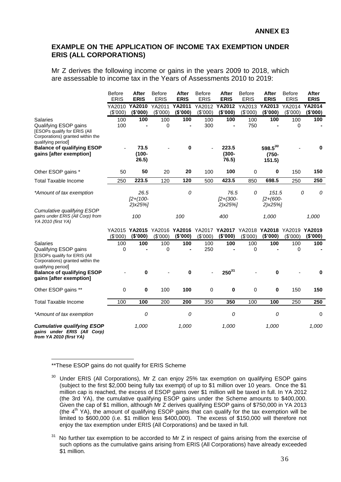## <span id="page-39-0"></span>**EXAMPLE ON THE APPLICATION OF INCOME TAX EXEMPTION UNDER ERIS (ALL CORPORATIONS)**

Mr Z derives the following income or gains in the years 2009 to 2018, which are assessable to income tax in the Years of Assessments 2010 to 2019:

|                                                                                                                                                                                | <b>Before</b><br><b>ERIS</b> | <b>After</b><br><b>ERIS</b>          | <b>Before</b><br><b>ERIS</b> | After<br><b>ERIS</b> | <b>Before</b><br><b>ERIS</b> | After<br><b>ERIS</b>                | <b>Before</b><br><b>ERIS</b> | <b>After</b><br><b>ERIS</b>                                                       | <b>Before</b><br><b>ERIS</b> | After<br><b>ERIS</b> |
|--------------------------------------------------------------------------------------------------------------------------------------------------------------------------------|------------------------------|--------------------------------------|------------------------------|----------------------|------------------------------|-------------------------------------|------------------------------|-----------------------------------------------------------------------------------|------------------------------|----------------------|
|                                                                                                                                                                                | YA2010<br>(\$'000)           | YA2010<br>(\$'000)                   | YA2011<br>(\$'000)           | YA2011<br>(\$'000)   | YA2012<br>(\$'000)           | YA2012<br>(\$'000)                  | YA2013<br>(\$000)            | YA2013<br>(\$'000)                                                                | YA2014<br>(\$'000)           | YA2014<br>(\$'000)   |
| <b>Salaries</b><br>Qualifying ESOP gains<br>[ESOPs qualify for ERIS (All<br>Corporations) granted within the<br>qualifying period]                                             | 100<br>100                   | 100                                  | 100<br>0                     | 100                  | 100<br>300                   | 100<br>$\blacksquare$               | 100<br>750                   | 100                                                                               | 100<br>0                     | 100                  |
| <b>Balance of qualifying ESOP</b><br>gains [after exemption]                                                                                                                   |                              | 73.5<br>$(100 -$<br>26.5)            |                              | 0                    |                              | 223.5<br>$(300 -$<br>76.5)          |                              | $598.5^{30}$<br>$(750 -$<br>151.5)                                                |                              | 0                    |
| Other ESOP gains *                                                                                                                                                             | 50                           | 50                                   | 20                           | 20                   | 100                          | 100                                 | 0                            | 0                                                                                 | 150                          | 150                  |
| <b>Total Taxable Income</b>                                                                                                                                                    | 250                          | 223.5                                | 120                          | 120                  | 500                          | 423.5                               | 850                          | 698.5                                                                             | 250                          | 250                  |
| *Amount of tax exemption                                                                                                                                                       |                              | 26.5<br>$[2+(100-$<br>$2)$ x $25%$ ] |                              | 0                    |                              | 76.5<br>$[2 + (300 -$<br>$2)$ x25%] | 0                            | 151.5<br>$[2 + (600 -$<br>$2)$ x $25%$                                            |                              | 0<br>0               |
| Cumulative qualifying ESOP<br>gains under ERIS (All Corp) from<br>YA 2010 (first YA)                                                                                           |                              | 100                                  |                              | 100                  |                              | 400                                 |                              | 1,000                                                                             |                              | 1,000                |
|                                                                                                                                                                                | (\$'000)                     | (\$'000)                             | (\$'000)                     | (\$'000)             | (\$'000)                     | (\$'000)                            | (\$'000)                     | YA2015 YA2015 YA2016 YA2016 YA2017 YA2017 YA2018 YA2018 YA2019 YA2019<br>(\$'000) | (\$'000)                     | (\$'000)             |
| <b>Salaries</b><br>Qualifying ESOP gains<br><b>[ESOPs qualify for ERIS (All</b><br>Corporations) granted within the<br>qualifying period]<br><b>Balance of qualifying ESOP</b> | 100<br>0                     | 100<br>0                             | 100<br>0                     | 100<br>0             | 100<br>250                   | 100<br>$250^{31}$                   | 100<br>0                     | 100<br>0                                                                          | 100<br>0                     | 100<br>0             |
| gains [after exemption]                                                                                                                                                        |                              |                                      |                              |                      |                              |                                     |                              |                                                                                   |                              |                      |
| Other ESOP gains **                                                                                                                                                            | 0                            | $\bf{0}$                             | 100                          | 100                  | 0                            | 0                                   | 0                            | 0                                                                                 | 150                          | 150                  |
| <b>Total Taxable Income</b>                                                                                                                                                    | 100                          | 100                                  | 200                          | 200                  | 350                          | 350                                 | 100                          | 100                                                                               | 250                          | 250                  |
| *Amount of tax exemption                                                                                                                                                       |                              | 0                                    |                              | 0                    |                              | 0                                   |                              | 0                                                                                 |                              | $\pmb{0}$            |
| <b>Cumulative qualifying ESOP</b><br>gains under ERIS (All Corp)<br>from YA 2010 (first YA)                                                                                    |                              | 1,000                                |                              | 1,000                |                              | 1,000                               |                              | 1,000                                                                             |                              | 1,000                |

1 \*\*These ESOP gains do not qualify for ERIS Scheme

 $30$  Under ERIS (All Corporations), Mr Z can enjoy 25% tax exemption on qualifying ESOP gains (subject to the first \$2,000 being fully tax exempt) of up to \$1 million over 10 years. Once the \$1 million cap is reached, the excess of ESOP gains over \$1 million will be taxed in full. In YA 2012 (the 3rd YA), the cumulative qualifying ESOP gains under the Scheme amounts to \$400,000. Given the cap of \$1 million, although Mr Z derives qualifying ESOP gains of \$750,000 in YA 2013 (the  $4<sup>th</sup>$  YA), the amount of qualifying ESOP gains that can qualify for the tax exemption will be limited to \$600,000 (i.e. \$1 million less \$400,000). The excess of \$150,000 will therefore not enjoy the tax exemption under ERIS (All Corporations) and be taxed in full.

 $31$  No further tax exemption to be accorded to Mr Z in respect of gains arising from the exercise of such options as the cumulative gains arising from ERIS (All Corporations) have already exceeded \$1 million.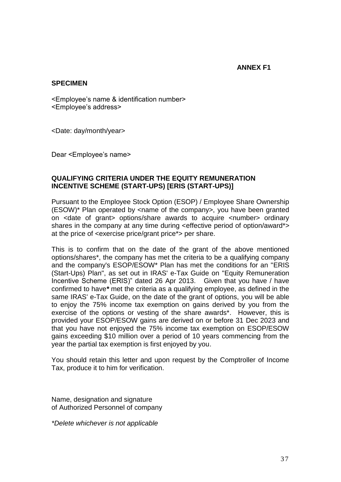## **ANNEX F1**

## <span id="page-40-0"></span>**SPECIMEN**

<Employee's name & identification number> <Employee's address>

<Date: day/month/year>

Dear <Employee's name>

## **QUALIFYING CRITERIA UNDER THE EQUITY REMUNERATION INCENTIVE SCHEME (START-UPS) [ERIS (START-UPS)]**

Pursuant to the Employee Stock Option (ESOP) / Employee Share Ownership (ESOW)\* Plan operated by <name of the company>, you have been granted on <date of grant> options/share awards to acquire <number> ordinary shares in the company at any time during <effective period of option/award\*> at the price of <exercise price/grant price\*> per share.

This is to confirm that on the date of the grant of the above mentioned options/shares\*, the company has met the criteria to be a qualifying company and the company's ESOP/ESOW\* Plan has met the conditions for an "ERIS (Start-Ups) Plan", as set out in IRAS' e-Tax Guide on "Equity Remuneration Incentive Scheme (ERIS)" dated 26 Apr 2013. Given that you have / have confirmed to have*\** met the criteria as a qualifying employee, as defined in the same IRAS' e-Tax Guide, on the date of the grant of options, you will be able to enjoy the 75% income tax exemption on gains derived by you from the exercise of the options or vesting of the share awards\*. However, this is provided your ESOP/ESOW gains are derived on or before 31 Dec 2023 and that you have not enjoyed the 75% income tax exemption on ESOP/ESOW gains exceeding \$10 million over a period of 10 years commencing from the year the partial tax exemption is first enjoyed by you.

You should retain this letter and upon request by the Comptroller of Income Tax, produce it to him for verification.

Name, designation and signature of Authorized Personnel of company

*\*Delete whichever is not applicable*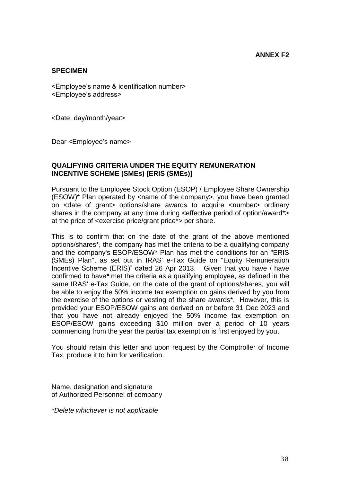## <span id="page-41-0"></span>**SPECIMEN**

<Employee's name & identification number> <Employee's address>

<Date: day/month/year>

Dear <Employee's name>

## **QUALIFYING CRITERIA UNDER THE EQUITY REMUNERATION INCENTIVE SCHEME (SMEs) [ERIS (SMEs)]**

Pursuant to the Employee Stock Option (ESOP) / Employee Share Ownership (ESOW)\* Plan operated by <name of the company>, you have been granted on <date of grant> options/share awards to acquire <number> ordinary shares in the company at any time during <effective period of option/award\*> at the price of <exercise price/grant price\*> per share.

This is to confirm that on the date of the grant of the above mentioned options/shares\*, the company has met the criteria to be a qualifying company and the company's ESOP/ESOW\* Plan has met the conditions for an "ERIS (SMEs) Plan", as set out in IRAS' e-Tax Guide on "Equity Remuneration Incentive Scheme (ERIS)" dated 26 Apr 2013. Given that you have / have confirmed to have*\** met the criteria as a qualifying employee, as defined in the same IRAS' e-Tax Guide, on the date of the grant of options/shares, you will be able to enjoy the 50% income tax exemption on gains derived by you from the exercise of the options or vesting of the share awards\*. However, this is provided your ESOP/ESOW gains are derived on or before 31 Dec 2023 and that you have not already enjoyed the 50% income tax exemption on ESOP/ESOW gains exceeding \$10 million over a period of 10 years commencing from the year the partial tax exemption is first enjoyed by you.

You should retain this letter and upon request by the Comptroller of Income Tax, produce it to him for verification.

Name, designation and signature of Authorized Personnel of company

*\*Delete whichever is not applicable*